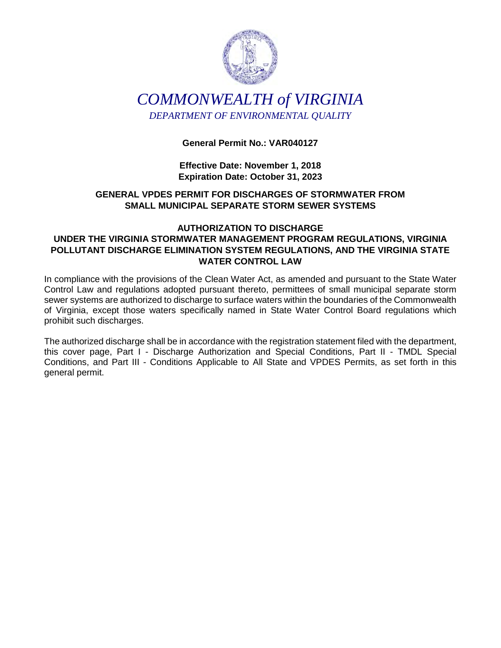

# *COMMONWEALTH of VIRGINIA DEPARTMENT OF ENVIRONMENTAL QUALITY*

# **General Permit No.: VAR040127**

**Effective Date: November 1, 2018 Expiration Date: October 31, 2023** 

# **GENERAL VPDES PERMIT FOR DISCHARGES OF STORMWATER FROM SMALL MUNICIPAL SEPARATE STORM SEWER SYSTEMS**

# **AUTHORIZATION TO DISCHARGE UNDER THE VIRGINIA STORMWATER MANAGEMENT PROGRAM REGULATIONS, VIRGINIA POLLUTANT DISCHARGE ELIMINATION SYSTEM REGULATIONS, AND THE VIRGINIA STATE WATER CONTROL LAW**

In compliance with the provisions of the Clean Water Act, as amended and pursuant to the State Water Control Law and regulations adopted pursuant thereto, permittees of small municipal separate storm sewer systems are authorized to discharge to surface waters within the boundaries of the Commonwealth of Virginia, except those waters specifically named in State Water Control Board regulations which prohibit such discharges.

The authorized discharge shall be in accordance with the registration statement filed with the department, this cover page, Part I - Discharge Authorization and Special Conditions, Part II - TMDL Special Conditions, and Part III - Conditions Applicable to All State and VPDES Permits, as set forth in this general permit.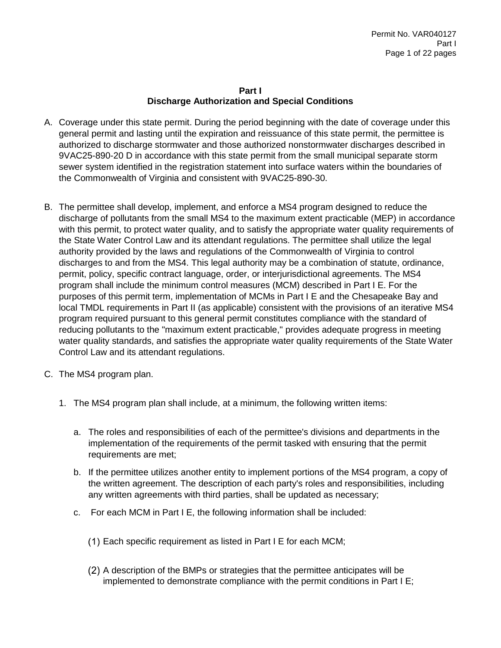## **Part I Discharge Authorization and Special Conditions**

- A. Coverage under this state permit. During the period beginning with the date of coverage under this general permit and lasting until the expiration and reissuance of this state permit, the permittee is authorized to discharge stormwater and those authorized nonstormwater discharges described in 9VAC25-890-20 D in accordance with this state permit from the small municipal separate storm sewer system identified in the registration statement into surface waters within the boundaries of the Commonwealth of Virginia and consistent with 9VAC25-890-30.
- B. The permittee shall develop, implement, and enforce a MS4 program designed to reduce the discharge of pollutants from the small MS4 to the maximum extent practicable (MEP) in accordance with this permit, to protect water quality, and to satisfy the appropriate water quality requirements of the State Water Control Law and its attendant regulations. The permittee shall utilize the legal authority provided by the laws and regulations of the Commonwealth of Virginia to control discharges to and from the MS4. This legal authority may be a combination of statute, ordinance, permit, policy, specific contract language, order, or interjurisdictional agreements. The MS4 program shall include the minimum control measures (MCM) described in Part I E. For the purposes of this permit term, implementation of MCMs in Part I E and the Chesapeake Bay and local TMDL requirements in Part II (as applicable) consistent with the provisions of an iterative MS4 program required pursuant to this general permit constitutes compliance with the standard of reducing pollutants to the "maximum extent practicable," provides adequate progress in meeting water quality standards, and satisfies the appropriate water quality requirements of the State Water Control Law and its attendant regulations.
- C. The MS4 program plan.
	- 1. The MS4 program plan shall include, at a minimum, the following written items:
		- a. The roles and responsibilities of each of the permittee's divisions and departments in the implementation of the requirements of the permit tasked with ensuring that the permit requirements are met;
		- b. If the permittee utilizes another entity to implement portions of the MS4 program, a copy of the written agreement. The description of each party's roles and responsibilities, including any written agreements with third parties, shall be updated as necessary;
		- c. For each MCM in Part I E, the following information shall be included:
			- Each specific requirement as listed in Part I E for each MCM;
			- A description of the BMPs or strategies that the permittee anticipates will be implemented to demonstrate compliance with the permit conditions in Part I E;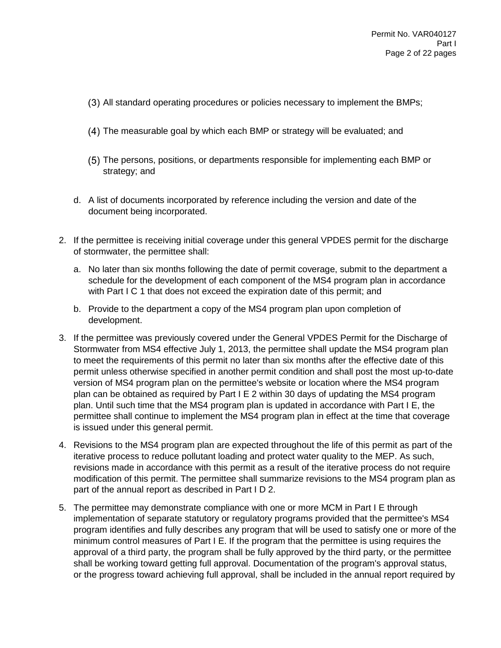- All standard operating procedures or policies necessary to implement the BMPs;
- The measurable goal by which each BMP or strategy will be evaluated; and
- The persons, positions, or departments responsible for implementing each BMP or strategy; and
- d. A list of documents incorporated by reference including the version and date of the document being incorporated.
- 2. If the permittee is receiving initial coverage under this general VPDES permit for the discharge of stormwater, the permittee shall:
	- a. No later than six months following the date of permit coverage, submit to the department a schedule for the development of each component of the MS4 program plan in accordance with Part I C 1 that does not exceed the expiration date of this permit; and
	- b. Provide to the department a copy of the MS4 program plan upon completion of development.
- 3. If the permittee was previously covered under the General VPDES Permit for the Discharge of Stormwater from MS4 effective July 1, 2013, the permittee shall update the MS4 program plan to meet the requirements of this permit no later than six months after the effective date of this permit unless otherwise specified in another permit condition and shall post the most up-to-date version of MS4 program plan on the permittee's website or location where the MS4 program plan can be obtained as required by Part I E 2 within 30 days of updating the MS4 program plan. Until such time that the MS4 program plan is updated in accordance with Part I E, the permittee shall continue to implement the MS4 program plan in effect at the time that coverage is issued under this general permit.
- 4. Revisions to the MS4 program plan are expected throughout the life of this permit as part of the iterative process to reduce pollutant loading and protect water quality to the MEP. As such, revisions made in accordance with this permit as a result of the iterative process do not require modification of this permit. The permittee shall summarize revisions to the MS4 program plan as part of the annual report as described in Part I D 2.
- 5. The permittee may demonstrate compliance with one or more MCM in Part I E through implementation of separate statutory or regulatory programs provided that the permittee's MS4 program identifies and fully describes any program that will be used to satisfy one or more of the minimum control measures of Part I E. If the program that the permittee is using requires the approval of a third party, the program shall be fully approved by the third party, or the permittee shall be working toward getting full approval. Documentation of the program's approval status, or the progress toward achieving full approval, shall be included in the annual report required by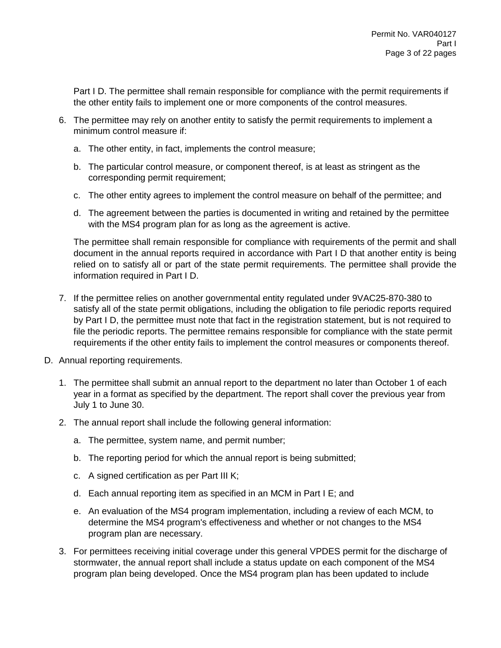Part I D. The permittee shall remain responsible for compliance with the permit requirements if the other entity fails to implement one or more components of the control measures.

- 6. The permittee may rely on another entity to satisfy the permit requirements to implement a minimum control measure if:
	- a. The other entity, in fact, implements the control measure;
	- b. The particular control measure, or component thereof, is at least as stringent as the corresponding permit requirement;
	- c. The other entity agrees to implement the control measure on behalf of the permittee; and
	- d. The agreement between the parties is documented in writing and retained by the permittee with the MS4 program plan for as long as the agreement is active.

The permittee shall remain responsible for compliance with requirements of the permit and shall document in the annual reports required in accordance with Part I D that another entity is being relied on to satisfy all or part of the state permit requirements. The permittee shall provide the information required in Part I D.

- 7. If the permittee relies on another governmental entity regulated under 9VAC25-870-380 to satisfy all of the state permit obligations, including the obligation to file periodic reports required by Part I D, the permittee must note that fact in the registration statement, but is not required to file the periodic reports. The permittee remains responsible for compliance with the state permit requirements if the other entity fails to implement the control measures or components thereof.
- D. Annual reporting requirements.
	- 1. The permittee shall submit an annual report to the department no later than October 1 of each year in a format as specified by the department. The report shall cover the previous year from July 1 to June 30.
	- 2. The annual report shall include the following general information:
		- a. The permittee, system name, and permit number;
		- b. The reporting period for which the annual report is being submitted;
		- c. A signed certification as per Part III K;
		- d. Each annual reporting item as specified in an MCM in Part I E; and
		- e. An evaluation of the MS4 program implementation, including a review of each MCM, to determine the MS4 program's effectiveness and whether or not changes to the MS4 program plan are necessary.
	- 3. For permittees receiving initial coverage under this general VPDES permit for the discharge of stormwater, the annual report shall include a status update on each component of the MS4 program plan being developed. Once the MS4 program plan has been updated to include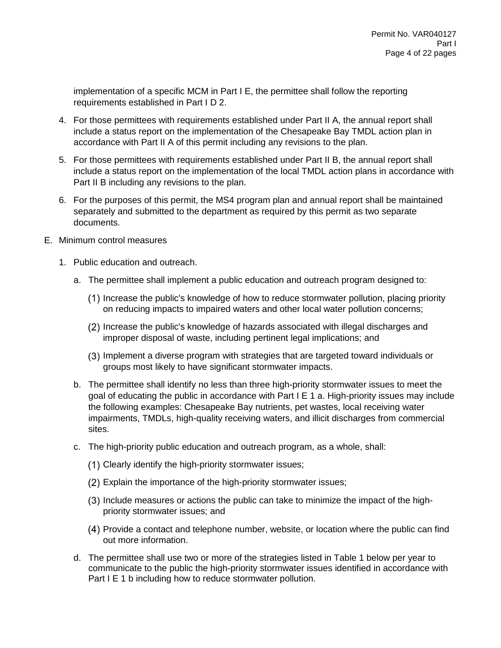implementation of a specific MCM in Part I E, the permittee shall follow the reporting requirements established in Part I D 2.

- 4. For those permittees with requirements established under Part II A, the annual report shall include a status report on the implementation of the Chesapeake Bay TMDL action plan in accordance with Part II A of this permit including any revisions to the plan.
- 5. For those permittees with requirements established under Part II B, the annual report shall include a status report on the implementation of the local TMDL action plans in accordance with Part II B including any revisions to the plan.
- 6. For the purposes of this permit, the MS4 program plan and annual report shall be maintained separately and submitted to the department as required by this permit as two separate documents.
- E. Minimum control measures
	- 1. Public education and outreach.
		- a. The permittee shall implement a public education and outreach program designed to:
			- (1) Increase the public's knowledge of how to reduce stormwater pollution, placing priority on reducing impacts to impaired waters and other local water pollution concerns;
			- Increase the public's knowledge of hazards associated with illegal discharges and improper disposal of waste, including pertinent legal implications; and
			- Implement a diverse program with strategies that are targeted toward individuals or groups most likely to have significant stormwater impacts.
		- b. The permittee shall identify no less than three high-priority stormwater issues to meet the goal of educating the public in accordance with Part I E 1 a. High-priority issues may include the following examples: Chesapeake Bay nutrients, pet wastes, local receiving water impairments, TMDLs, high-quality receiving waters, and illicit discharges from commercial sites.
		- c. The high-priority public education and outreach program, as a whole, shall:
			- (1) Clearly identify the high-priority stormwater issues;
			- Explain the importance of the high-priority stormwater issues;
			- Include measures or actions the public can take to minimize the impact of the highpriority stormwater issues; and
			- Provide a contact and telephone number, website, or location where the public can find out more information.
		- d. The permittee shall use two or more of the strategies listed in Table 1 below per year to communicate to the public the high-priority stormwater issues identified in accordance with Part I E 1 b including how to reduce stormwater pollution.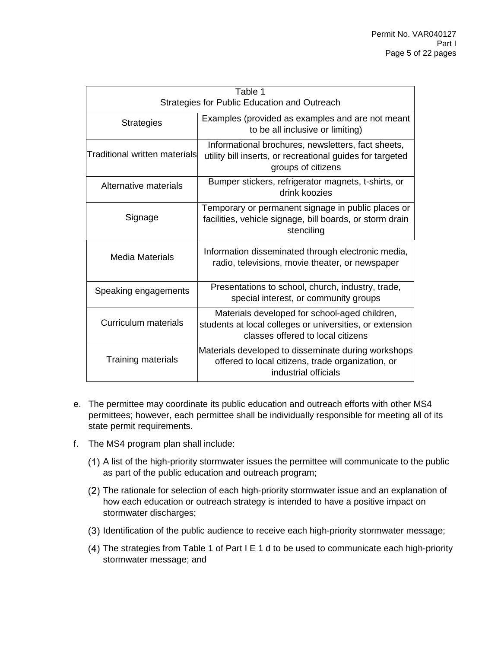| Table 1<br>Strategies for Public Education and Outreach |                                                                                                                                                |  |  |
|---------------------------------------------------------|------------------------------------------------------------------------------------------------------------------------------------------------|--|--|
| <b>Strategies</b>                                       | Examples (provided as examples and are not meant<br>to be all inclusive or limiting)                                                           |  |  |
| Traditional written materials                           | Informational brochures, newsletters, fact sheets,<br>utility bill inserts, or recreational guides for targeted<br>groups of citizens          |  |  |
| Alternative materials                                   | Bumper stickers, refrigerator magnets, t-shirts, or<br>drink koozies                                                                           |  |  |
| Signage                                                 | Temporary or permanent signage in public places or<br>facilities, vehicle signage, bill boards, or storm drain<br>stenciling                   |  |  |
| <b>Media Materials</b>                                  | Information disseminated through electronic media,<br>radio, televisions, movie theater, or newspaper                                          |  |  |
| Speaking engagements                                    | Presentations to school, church, industry, trade,<br>special interest, or community groups                                                     |  |  |
| Curriculum materials                                    | Materials developed for school-aged children,<br>students at local colleges or universities, or extension<br>classes offered to local citizens |  |  |
| <b>Training materials</b>                               | Materials developed to disseminate during workshops<br>offered to local citizens, trade organization, or<br>industrial officials               |  |  |

- e. The permittee may coordinate its public education and outreach efforts with other MS4 permittees; however, each permittee shall be individually responsible for meeting all of its state permit requirements.
- f. The MS4 program plan shall include:
	- A list of the high-priority stormwater issues the permittee will communicate to the public as part of the public education and outreach program;
	- (2) The rationale for selection of each high-priority stormwater issue and an explanation of how each education or outreach strategy is intended to have a positive impact on stormwater discharges;
	- (3) Identification of the public audience to receive each high-priority stormwater message;
	- The strategies from Table 1 of Part I E 1 d to be used to communicate each high-priority stormwater message; and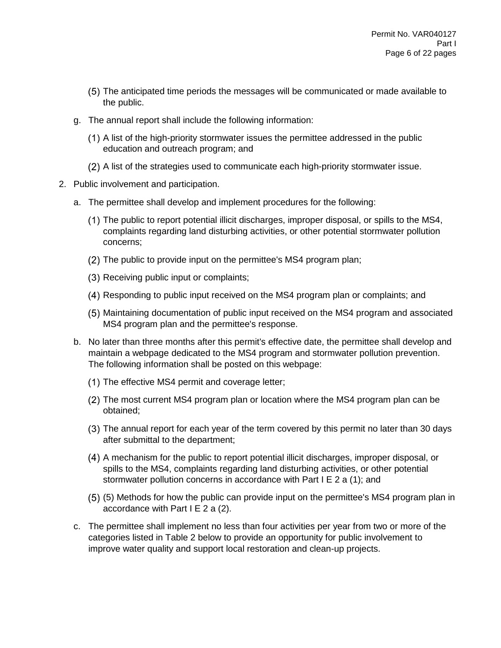- The anticipated time periods the messages will be communicated or made available to the public.
- g. The annual report shall include the following information:
	- A list of the high-priority stormwater issues the permittee addressed in the public education and outreach program; and
	- A list of the strategies used to communicate each high-priority stormwater issue.
- 2. Public involvement and participation.
	- a. The permittee shall develop and implement procedures for the following:
		- The public to report potential illicit discharges, improper disposal, or spills to the MS4, complaints regarding land disturbing activities, or other potential stormwater pollution concerns;
		- (2) The public to provide input on the permittee's MS4 program plan;
		- (3) Receiving public input or complaints;
		- Responding to public input received on the MS4 program plan or complaints; and
		- Maintaining documentation of public input received on the MS4 program and associated MS4 program plan and the permittee's response.
	- b. No later than three months after this permit's effective date, the permittee shall develop and maintain a webpage dedicated to the MS4 program and stormwater pollution prevention. The following information shall be posted on this webpage:
		- (1) The effective MS4 permit and coverage letter;
		- (2) The most current MS4 program plan or location where the MS4 program plan can be obtained;
		- The annual report for each year of the term covered by this permit no later than 30 days after submittal to the department;
		- A mechanism for the public to report potential illicit discharges, improper disposal, or spills to the MS4, complaints regarding land disturbing activities, or other potential stormwater pollution concerns in accordance with Part I E 2 a (1); and
		- (5) Methods for how the public can provide input on the permittee's MS4 program plan in accordance with Part  $I \to 2$  a (2).
	- c. The permittee shall implement no less than four activities per year from two or more of the categories listed in Table 2 below to provide an opportunity for public involvement to improve water quality and support local restoration and clean-up projects.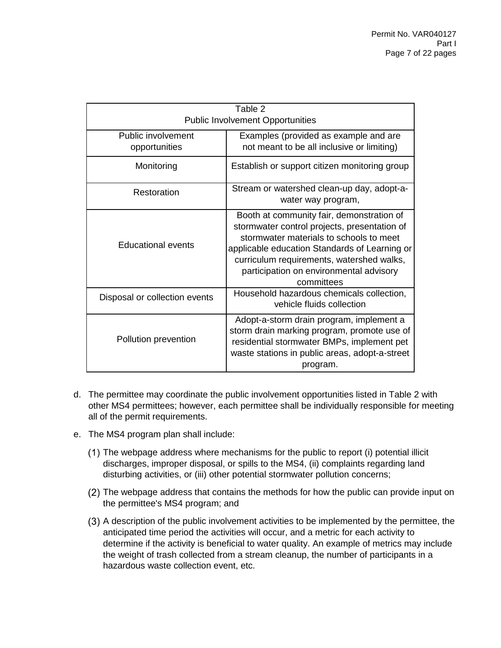|                                         | Table 2                                                                                                                                                                                                                                                                                     |  |  |  |
|-----------------------------------------|---------------------------------------------------------------------------------------------------------------------------------------------------------------------------------------------------------------------------------------------------------------------------------------------|--|--|--|
| <b>Public Involvement Opportunities</b> |                                                                                                                                                                                                                                                                                             |  |  |  |
| Public involvement<br>opportunities     | Examples (provided as example and are<br>not meant to be all inclusive or limiting)                                                                                                                                                                                                         |  |  |  |
| Monitoring                              | Establish or support citizen monitoring group                                                                                                                                                                                                                                               |  |  |  |
| Restoration                             | Stream or watershed clean-up day, adopt-a-<br>water way program,                                                                                                                                                                                                                            |  |  |  |
| Educational events                      | Booth at community fair, demonstration of<br>stormwater control projects, presentation of<br>stormwater materials to schools to meet<br>applicable education Standards of Learning or<br>curriculum requirements, watershed walks,<br>participation on environmental advisory<br>committees |  |  |  |
| Disposal or collection events           | Household hazardous chemicals collection,<br>vehicle fluids collection                                                                                                                                                                                                                      |  |  |  |
| Pollution prevention                    | Adopt-a-storm drain program, implement a<br>storm drain marking program, promote use of<br>residential stormwater BMPs, implement pet<br>waste stations in public areas, adopt-a-street<br>program.                                                                                         |  |  |  |

- d. The permittee may coordinate the public involvement opportunities listed in Table 2 with other MS4 permittees; however, each permittee shall be individually responsible for meeting all of the permit requirements.
- e. The MS4 program plan shall include:
	- The webpage address where mechanisms for the public to report (i) potential illicit discharges, improper disposal, or spills to the MS4, (ii) complaints regarding land disturbing activities, or (iii) other potential stormwater pollution concerns;
	- The webpage address that contains the methods for how the public can provide input on the permittee's MS4 program; and
	- A description of the public involvement activities to be implemented by the permittee, the anticipated time period the activities will occur, and a metric for each activity to determine if the activity is beneficial to water quality. An example of metrics may include the weight of trash collected from a stream cleanup, the number of participants in a hazardous waste collection event, etc.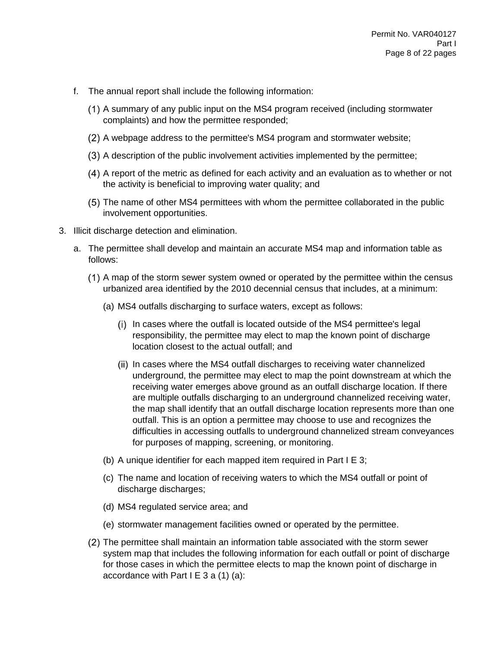- f. The annual report shall include the following information:
	- A summary of any public input on the MS4 program received (including stormwater complaints) and how the permittee responded;
	- A webpage address to the permittee's MS4 program and stormwater website;
	- A description of the public involvement activities implemented by the permittee;
	- A report of the metric as defined for each activity and an evaluation as to whether or not the activity is beneficial to improving water quality; and
	- The name of other MS4 permittees with whom the permittee collaborated in the public involvement opportunities.
- 3. Illicit discharge detection and elimination.
	- a. The permittee shall develop and maintain an accurate MS4 map and information table as follows:
		- A map of the storm sewer system owned or operated by the permittee within the census urbanized area identified by the 2010 decennial census that includes, at a minimum:
			- (a) MS4 outfalls discharging to surface waters, except as follows:
				- (i) In cases where the outfall is located outside of the MS4 permittee's legal responsibility, the permittee may elect to map the known point of discharge location closest to the actual outfall; and
				- (ii) In cases where the MS4 outfall discharges to receiving water channelized underground, the permittee may elect to map the point downstream at which the receiving water emerges above ground as an outfall discharge location. If there are multiple outfalls discharging to an underground channelized receiving water, the map shall identify that an outfall discharge location represents more than one outfall. This is an option a permittee may choose to use and recognizes the difficulties in accessing outfalls to underground channelized stream conveyances for purposes of mapping, screening, or monitoring.
			- (b) A unique identifier for each mapped item required in Part I E 3;
			- (c) The name and location of receiving waters to which the MS4 outfall or point of discharge discharges;
			- (d) MS4 regulated service area; and
			- (e) stormwater management facilities owned or operated by the permittee.
		- The permittee shall maintain an information table associated with the storm sewer system map that includes the following information for each outfall or point of discharge for those cases in which the permittee elects to map the known point of discharge in accordance with Part I E  $3$  a  $(1)$   $(a)$ :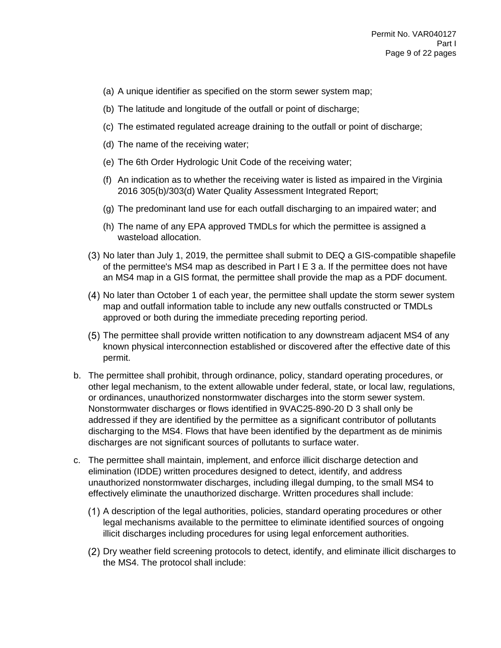- (a) A unique identifier as specified on the storm sewer system map;
- (b) The latitude and longitude of the outfall or point of discharge;
- (c) The estimated regulated acreage draining to the outfall or point of discharge;
- (d) The name of the receiving water;
- (e) The 6th Order Hydrologic Unit Code of the receiving water;
- (f) An indication as to whether the receiving water is listed as impaired in the Virginia 2016 305(b)/303(d) Water Quality Assessment Integrated Report;
- (g) The predominant land use for each outfall discharging to an impaired water; and
- (h) The name of any EPA approved TMDLs for which the permittee is assigned a wasteload allocation.
- No later than July 1, 2019, the permittee shall submit to DEQ a GIS-compatible shapefile of the permittee's MS4 map as described in Part I E 3 a. If the permittee does not have an MS4 map in a GIS format, the permittee shall provide the map as a PDF document.
- No later than October 1 of each year, the permittee shall update the storm sewer system map and outfall information table to include any new outfalls constructed or TMDLs approved or both during the immediate preceding reporting period.
- The permittee shall provide written notification to any downstream adjacent MS4 of any known physical interconnection established or discovered after the effective date of this permit.
- b. The permittee shall prohibit, through ordinance, policy, standard operating procedures, or other legal mechanism, to the extent allowable under federal, state, or local law, regulations, or ordinances, unauthorized nonstormwater discharges into the storm sewer system. Nonstormwater discharges or flows identified in 9VAC25-890-20 D 3 shall only be addressed if they are identified by the permittee as a significant contributor of pollutants discharging to the MS4. Flows that have been identified by the department as de minimis discharges are not significant sources of pollutants to surface water.
- c. The permittee shall maintain, implement, and enforce illicit discharge detection and elimination (IDDE) written procedures designed to detect, identify, and address unauthorized nonstormwater discharges, including illegal dumping, to the small MS4 to effectively eliminate the unauthorized discharge. Written procedures shall include:
	- A description of the legal authorities, policies, standard operating procedures or other legal mechanisms available to the permittee to eliminate identified sources of ongoing illicit discharges including procedures for using legal enforcement authorities.
	- Dry weather field screening protocols to detect, identify, and eliminate illicit discharges to the MS4. The protocol shall include: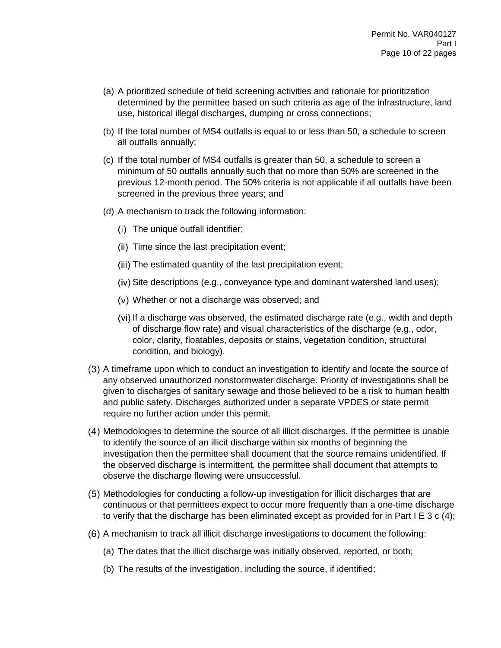- (a) A prioritized schedule of field screening activities and rationale for prioritization determined by the permittee based on such criteria as age of the infrastructure, land use, historical illegal discharges, dumping or cross connections;
- (b) If the total number of MS4 outfalls is equal to or less than 50, a schedule to screen all outfalls annually;
- (c) If the total number of MS4 outfalls is greater than 50, a schedule to screen a minimum of 50 outfalls annually such that no more than 50% are screened in the previous 12-month period. The 50% criteria is not applicable if all outfalls have been screened in the previous three years; and
- (d) A mechanism to track the following information:
	- (i) The unique outfall identifier;
	- (ii) Time since the last precipitation event;
	- (iii) The estimated quantity of the last precipitation event;
	- $(iv)$  Site descriptions (e.g., conveyance type and dominant watershed land uses);
	- Whether or not a discharge was observed; and
	- If a discharge was observed, the estimated discharge rate (e.g., width and depth of discharge flow rate) and visual characteristics of the discharge (e.g., odor, color, clarity, floatables, deposits or stains, vegetation condition, structural condition, and biology).
- (3) A timeframe upon which to conduct an investigation to identify and locate the source of any observed unauthorized nonstormwater discharge. Priority of investigations shall be given to discharges of sanitary sewage and those believed to be a risk to human health and public safety. Discharges authorized under a separate VPDES or state permit require no further action under this permit.
- Methodologies to determine the source of all illicit discharges. If the permittee is unable to identify the source of an illicit discharge within six months of beginning the investigation then the permittee shall document that the source remains unidentified. If the observed discharge is intermittent, the permittee shall document that attempts to observe the discharge flowing were unsuccessful.
- Methodologies for conducting a follow-up investigation for illicit discharges that are continuous or that permittees expect to occur more frequently than a one-time discharge to verify that the discharge has been eliminated except as provided for in Part I E 3 c (4);
- A mechanism to track all illicit discharge investigations to document the following:
	- (a) The dates that the illicit discharge was initially observed, reported, or both;
	- (b) The results of the investigation, including the source, if identified;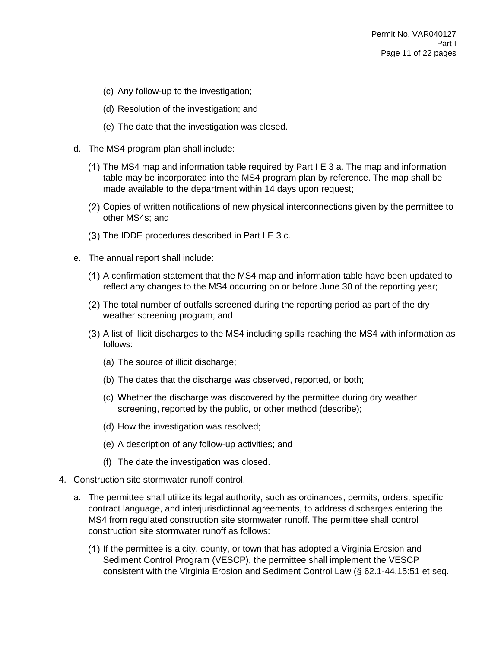- (c) Any follow-up to the investigation;
- (d) Resolution of the investigation; and
- (e) The date that the investigation was closed.
- d. The MS4 program plan shall include:
	- $(1)$  The MS4 map and information table required by Part I E 3 a. The map and information table may be incorporated into the MS4 program plan by reference. The map shall be made available to the department within 14 days upon request;
	- Copies of written notifications of new physical interconnections given by the permittee to other MS4s; and
	- $(3)$  The IDDE procedures described in Part I E 3 c.
- e. The annual report shall include:
	- A confirmation statement that the MS4 map and information table have been updated to reflect any changes to the MS4 occurring on or before June 30 of the reporting year;
	- The total number of outfalls screened during the reporting period as part of the dry weather screening program; and
	- A list of illicit discharges to the MS4 including spills reaching the MS4 with information as follows:
		- (a) The source of illicit discharge;
		- (b) The dates that the discharge was observed, reported, or both;
		- (c) Whether the discharge was discovered by the permittee during dry weather screening, reported by the public, or other method (describe);
		- (d) How the investigation was resolved;
		- (e) A description of any follow-up activities; and
		- (f) The date the investigation was closed.
- 4. Construction site stormwater runoff control.
	- a. The permittee shall utilize its legal authority, such as ordinances, permits, orders, specific contract language, and interjurisdictional agreements, to address discharges entering the MS4 from regulated construction site stormwater runoff. The permittee shall control construction site stormwater runoff as follows:
		- (1) If the permittee is a city, county, or town that has adopted a Virginia Erosion and Sediment Control Program (VESCP), the permittee shall implement the VESCP consistent with the Virginia Erosion and Sediment Control Law (§ 62.1-44.15:51 et seq.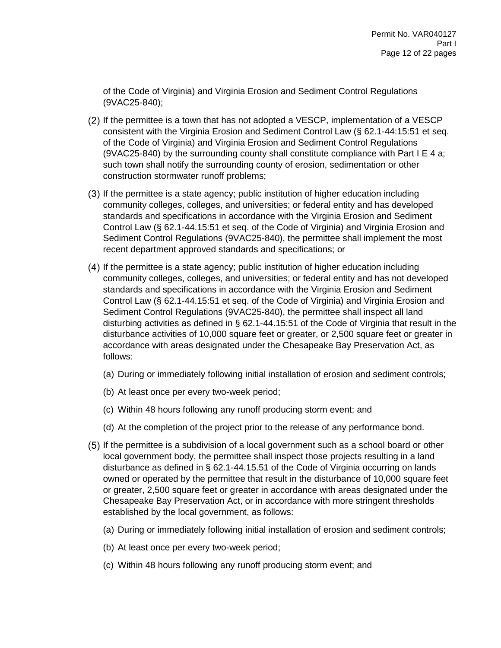of the Code of Virginia) and Virginia Erosion and Sediment Control Regulations (9VAC25-840);

- $(2)$  If the permittee is a town that has not adopted a VESCP, implementation of a VESCP consistent with the Virginia Erosion and Sediment Control Law (§ 62.1-44:15:51 et seq. of the Code of Virginia) and Virginia Erosion and Sediment Control Regulations (9VAC25-840) by the surrounding county shall constitute compliance with Part I E 4 a; such town shall notify the surrounding county of erosion, sedimentation or other construction stormwater runoff problems;
- If the permittee is a state agency; public institution of higher education including community colleges, colleges, and universities; or federal entity and has developed standards and specifications in accordance with the Virginia Erosion and Sediment Control Law (§ 62.1-44.15:51 et seq. of the Code of Virginia) and Virginia Erosion and Sediment Control Regulations (9VAC25-840), the permittee shall implement the most recent department approved standards and specifications; or
- If the permittee is a state agency; public institution of higher education including community colleges, colleges, and universities; or federal entity and has not developed standards and specifications in accordance with the Virginia Erosion and Sediment Control Law (§ 62.1-44.15:51 et seq. of the Code of Virginia) and Virginia Erosion and Sediment Control Regulations (9VAC25-840), the permittee shall inspect all land disturbing activities as defined in § 62.1-44.15:51 of the Code of Virginia that result in the disturbance activities of 10,000 square feet or greater, or 2,500 square feet or greater in accordance with areas designated under the Chesapeake Bay Preservation Act, as follows:
	- (a) During or immediately following initial installation of erosion and sediment controls;
	- (b) At least once per every two-week period;
	- (c) Within 48 hours following any runoff producing storm event; and
	- (d) At the completion of the project prior to the release of any performance bond.
- (5) If the permittee is a subdivision of a local government such as a school board or other local government body, the permittee shall inspect those projects resulting in a land disturbance as defined in § 62.1-44.15.51 of the Code of Virginia occurring on lands owned or operated by the permittee that result in the disturbance of 10,000 square feet or greater, 2,500 square feet or greater in accordance with areas designated under the Chesapeake Bay Preservation Act, or in accordance with more stringent thresholds established by the local government, as follows:
	- (a) During or immediately following initial installation of erosion and sediment controls;
	- (b) At least once per every two-week period;
	- (c) Within 48 hours following any runoff producing storm event; and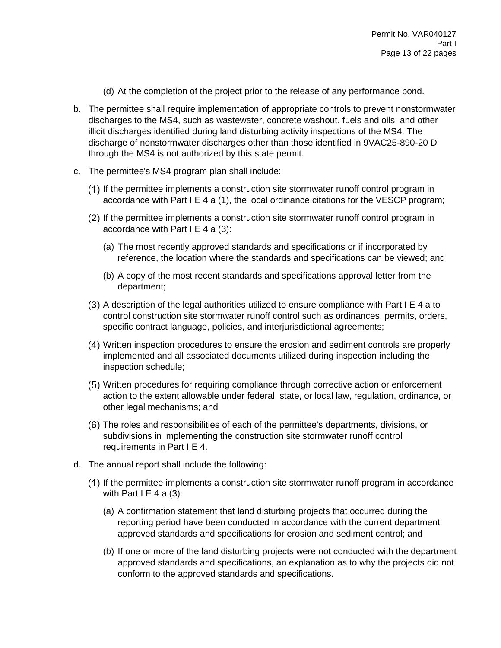- (d) At the completion of the project prior to the release of any performance bond.
- b. The permittee shall require implementation of appropriate controls to prevent nonstormwater discharges to the MS4, such as wastewater, concrete washout, fuels and oils, and other illicit discharges identified during land disturbing activity inspections of the MS4. The discharge of nonstormwater discharges other than those identified in 9VAC25-890-20 D through the MS4 is not authorized by this state permit.
- c. The permittee's MS4 program plan shall include:
	- (1) If the permittee implements a construction site stormwater runoff control program in accordance with Part I E 4 a (1), the local ordinance citations for the VESCP program;
	- (2) If the permittee implements a construction site stormwater runoff control program in accordance with Part  $I \nE 4$  a (3):
		- (a) The most recently approved standards and specifications or if incorporated by reference, the location where the standards and specifications can be viewed; and
		- (b) A copy of the most recent standards and specifications approval letter from the department;
	- $(3)$  A description of the legal authorities utilized to ensure compliance with Part I E 4 a to control construction site stormwater runoff control such as ordinances, permits, orders, specific contract language, policies, and interjurisdictional agreements;
	- Written inspection procedures to ensure the erosion and sediment controls are properly implemented and all associated documents utilized during inspection including the inspection schedule;
	- Written procedures for requiring compliance through corrective action or enforcement action to the extent allowable under federal, state, or local law, regulation, ordinance, or other legal mechanisms; and
	- The roles and responsibilities of each of the permittee's departments, divisions, or subdivisions in implementing the construction site stormwater runoff control requirements in Part I E 4.
- d. The annual report shall include the following:
	- If the permittee implements a construction site stormwater runoff program in accordance with Part  $I \nE 4$  a (3):
		- (a) A confirmation statement that land disturbing projects that occurred during the reporting period have been conducted in accordance with the current department approved standards and specifications for erosion and sediment control; and
		- (b) If one or more of the land disturbing projects were not conducted with the department approved standards and specifications, an explanation as to why the projects did not conform to the approved standards and specifications.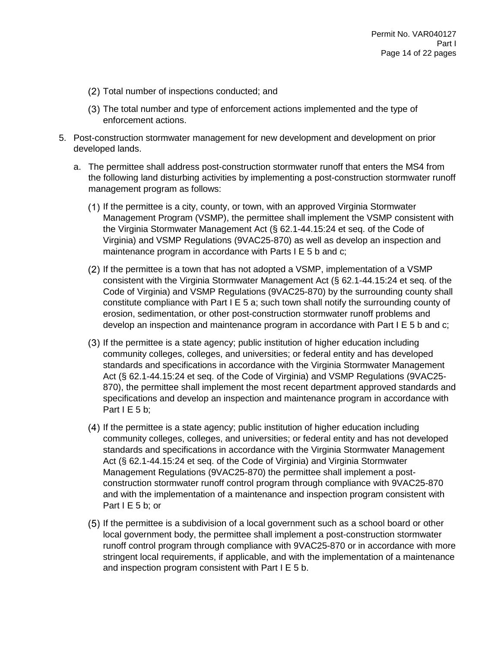- (2) Total number of inspections conducted; and
- The total number and type of enforcement actions implemented and the type of enforcement actions.
- 5. Post-construction stormwater management for new development and development on prior developed lands.
	- a. The permittee shall address post-construction stormwater runoff that enters the MS4 from the following land disturbing activities by implementing a post-construction stormwater runoff management program as follows:
		- If the permittee is a city, county, or town, with an approved Virginia Stormwater Management Program (VSMP), the permittee shall implement the VSMP consistent with the Virginia Stormwater Management Act (§ 62.1-44.15:24 et seq. of the Code of Virginia) and VSMP Regulations (9VAC25-870) as well as develop an inspection and maintenance program in accordance with Parts I E 5 b and c;
		- (2) If the permittee is a town that has not adopted a VSMP, implementation of a VSMP consistent with the Virginia Stormwater Management Act (§ 62.1-44.15:24 et seq. of the Code of Virginia) and VSMP Regulations (9VAC25-870) by the surrounding county shall constitute compliance with Part I E 5 a; such town shall notify the surrounding county of erosion, sedimentation, or other post-construction stormwater runoff problems and develop an inspection and maintenance program in accordance with Part I E 5 b and c;
		- If the permittee is a state agency; public institution of higher education including community colleges, colleges, and universities; or federal entity and has developed standards and specifications in accordance with the Virginia Stormwater Management Act (§ 62.1-44.15:24 et seq. of the Code of Virginia) and VSMP Regulations (9VAC25- 870), the permittee shall implement the most recent department approved standards and specifications and develop an inspection and maintenance program in accordance with Part  $I \to 5$  b;
		- (4) If the permittee is a state agency; public institution of higher education including community colleges, colleges, and universities; or federal entity and has not developed standards and specifications in accordance with the Virginia Stormwater Management Act (§ 62.1-44.15:24 et seq. of the Code of Virginia) and Virginia Stormwater Management Regulations (9VAC25-870) the permittee shall implement a postconstruction stormwater runoff control program through compliance with 9VAC25-870 and with the implementation of a maintenance and inspection program consistent with Part I E 5 b; or
		- If the permittee is a subdivision of a local government such as a school board or other local government body, the permittee shall implement a post-construction stormwater runoff control program through compliance with 9VAC25-870 or in accordance with more stringent local requirements, if applicable, and with the implementation of a maintenance and inspection program consistent with Part I E 5 b.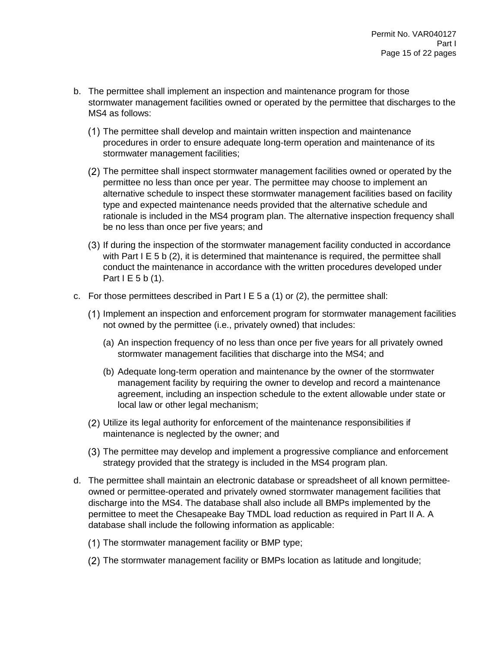- b. The permittee shall implement an inspection and maintenance program for those stormwater management facilities owned or operated by the permittee that discharges to the MS4 as follows:
	- The permittee shall develop and maintain written inspection and maintenance procedures in order to ensure adequate long-term operation and maintenance of its stormwater management facilities;
	- The permittee shall inspect stormwater management facilities owned or operated by the permittee no less than once per year. The permittee may choose to implement an alternative schedule to inspect these stormwater management facilities based on facility type and expected maintenance needs provided that the alternative schedule and rationale is included in the MS4 program plan. The alternative inspection frequency shall be no less than once per five years; and
	- If during the inspection of the stormwater management facility conducted in accordance with Part I E 5 b (2), it is determined that maintenance is required, the permittee shall conduct the maintenance in accordance with the written procedures developed under Part  $I \to 5 b(1)$ .
- c. For those permittees described in Part  $E = 5$  a (1) or (2), the permittee shall:
	- (1) Implement an inspection and enforcement program for stormwater management facilities not owned by the permittee (i.e., privately owned) that includes:
		- (a) An inspection frequency of no less than once per five years for all privately owned stormwater management facilities that discharge into the MS4; and
		- (b) Adequate long-term operation and maintenance by the owner of the stormwater management facility by requiring the owner to develop and record a maintenance agreement, including an inspection schedule to the extent allowable under state or local law or other legal mechanism;
	- Utilize its legal authority for enforcement of the maintenance responsibilities if maintenance is neglected by the owner; and
	- The permittee may develop and implement a progressive compliance and enforcement strategy provided that the strategy is included in the MS4 program plan.
- d. The permittee shall maintain an electronic database or spreadsheet of all known permitteeowned or permittee-operated and privately owned stormwater management facilities that discharge into the MS4. The database shall also include all BMPs implemented by the permittee to meet the Chesapeake Bay TMDL load reduction as required in Part II A. A database shall include the following information as applicable:
	- (1) The stormwater management facility or BMP type;
	- The stormwater management facility or BMPs location as latitude and longitude;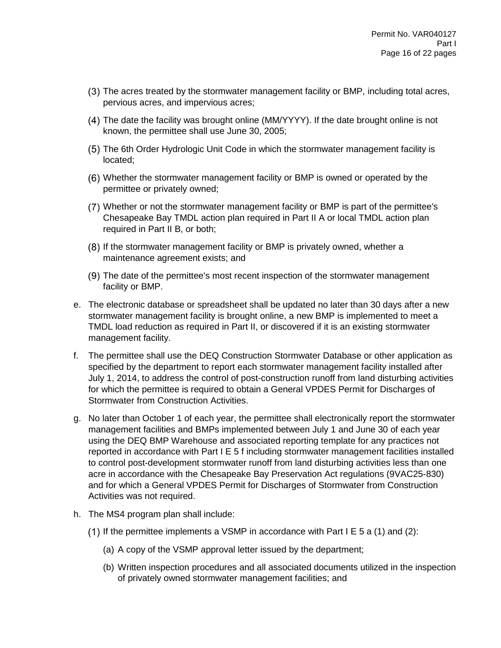- The acres treated by the stormwater management facility or BMP, including total acres, pervious acres, and impervious acres;
- The date the facility was brought online (MM/YYYY). If the date brought online is not known, the permittee shall use June 30, 2005;
- The 6th Order Hydrologic Unit Code in which the stormwater management facility is located;
- Whether the stormwater management facility or BMP is owned or operated by the permittee or privately owned;
- Whether or not the stormwater management facility or BMP is part of the permittee's Chesapeake Bay TMDL action plan required in Part II A or local TMDL action plan required in Part II B, or both;
- (8) If the stormwater management facility or BMP is privately owned, whether a maintenance agreement exists; and
- The date of the permittee's most recent inspection of the stormwater management facility or BMP.
- e. The electronic database or spreadsheet shall be updated no later than 30 days after a new stormwater management facility is brought online, a new BMP is implemented to meet a TMDL load reduction as required in Part II, or discovered if it is an existing stormwater management facility.
- f. The permittee shall use the DEQ Construction Stormwater Database or other application as specified by the department to report each stormwater management facility installed after July 1, 2014, to address the control of post-construction runoff from land disturbing activities for which the permittee is required to obtain a General VPDES Permit for Discharges of Stormwater from Construction Activities.
- g. No later than October 1 of each year, the permittee shall electronically report the stormwater management facilities and BMPs implemented between July 1 and June 30 of each year using the DEQ BMP Warehouse and associated reporting template for any practices not reported in accordance with Part I E 5 f including stormwater management facilities installed to control post-development stormwater runoff from land disturbing activities less than one acre in accordance with the Chesapeake Bay Preservation Act regulations (9VAC25-830) and for which a General VPDES Permit for Discharges of Stormwater from Construction Activities was not required.
- h. The MS4 program plan shall include:
	- (1) If the permittee implements a VSMP in accordance with Part I E 5 a (1) and (2):
		- (a) A copy of the VSMP approval letter issued by the department;
		- (b) Written inspection procedures and all associated documents utilized in the inspection of privately owned stormwater management facilities; and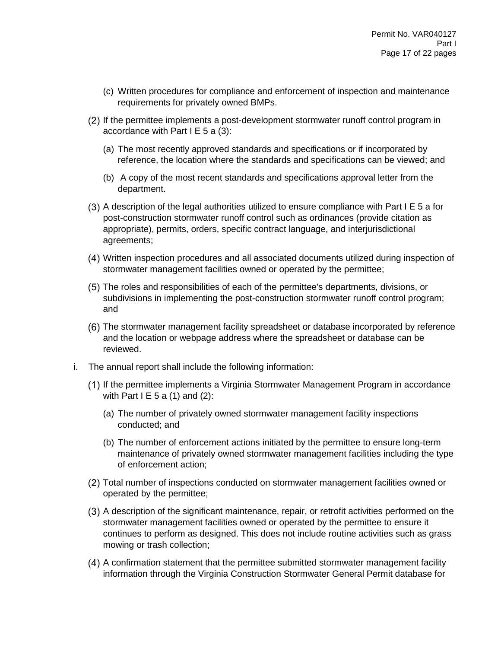- (c) Written procedures for compliance and enforcement of inspection and maintenance requirements for privately owned BMPs.
- If the permittee implements a post-development stormwater runoff control program in accordance with Part  $I \nE 5$  a (3):
	- (a) The most recently approved standards and specifications or if incorporated by reference, the location where the standards and specifications can be viewed; and
	- (b) A copy of the most recent standards and specifications approval letter from the department.
- $(3)$  A description of the legal authorities utilized to ensure compliance with Part I E 5 a for post-construction stormwater runoff control such as ordinances (provide citation as appropriate), permits, orders, specific contract language, and interjurisdictional agreements;
- Written inspection procedures and all associated documents utilized during inspection of stormwater management facilities owned or operated by the permittee;
- The roles and responsibilities of each of the permittee's departments, divisions, or subdivisions in implementing the post-construction stormwater runoff control program; and
- The stormwater management facility spreadsheet or database incorporated by reference and the location or webpage address where the spreadsheet or database can be reviewed.
- i. The annual report shall include the following information:
	- If the permittee implements a Virginia Stormwater Management Program in accordance with Part I E 5 a  $(1)$  and  $(2)$ :
		- (a) The number of privately owned stormwater management facility inspections conducted; and
		- (b) The number of enforcement actions initiated by the permittee to ensure long-term maintenance of privately owned stormwater management facilities including the type of enforcement action;
	- Total number of inspections conducted on stormwater management facilities owned or operated by the permittee;
	- A description of the significant maintenance, repair, or retrofit activities performed on the stormwater management facilities owned or operated by the permittee to ensure it continues to perform as designed. This does not include routine activities such as grass mowing or trash collection;
	- A confirmation statement that the permittee submitted stormwater management facility information through the Virginia Construction Stormwater General Permit database for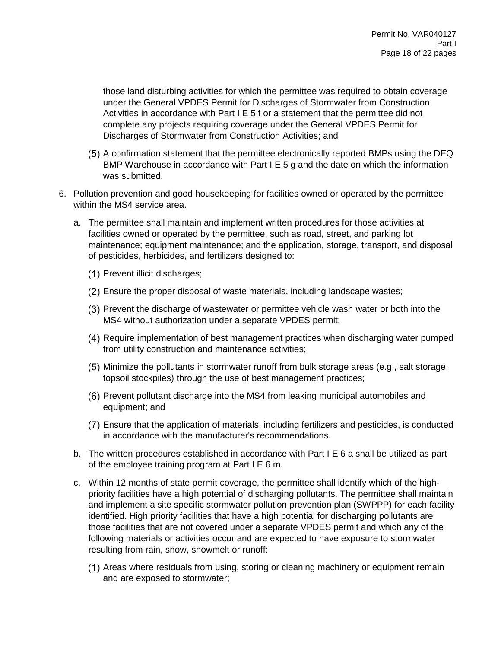those land disturbing activities for which the permittee was required to obtain coverage under the General VPDES Permit for Discharges of Stormwater from Construction Activities in accordance with Part I E 5 f or a statement that the permittee did not complete any projects requiring coverage under the General VPDES Permit for Discharges of Stormwater from Construction Activities; and

- A confirmation statement that the permittee electronically reported BMPs using the DEQ BMP Warehouse in accordance with Part I E 5 g and the date on which the information was submitted.
- 6. Pollution prevention and good housekeeping for facilities owned or operated by the permittee within the MS4 service area.
	- a. The permittee shall maintain and implement written procedures for those activities at facilities owned or operated by the permittee, such as road, street, and parking lot maintenance; equipment maintenance; and the application, storage, transport, and disposal of pesticides, herbicides, and fertilizers designed to:
		- Prevent illicit discharges;
		- Ensure the proper disposal of waste materials, including landscape wastes;
		- Prevent the discharge of wastewater or permittee vehicle wash water or both into the MS4 without authorization under a separate VPDES permit;
		- Require implementation of best management practices when discharging water pumped from utility construction and maintenance activities;
		- Minimize the pollutants in stormwater runoff from bulk storage areas (e.g., salt storage, topsoil stockpiles) through the use of best management practices;
		- (6) Prevent pollutant discharge into the MS4 from leaking municipal automobiles and equipment; and
		- Ensure that the application of materials, including fertilizers and pesticides, is conducted in accordance with the manufacturer's recommendations.
	- b. The written procedures established in accordance with Part I E 6 a shall be utilized as part of the employee training program at Part I E 6 m.
	- c. Within 12 months of state permit coverage, the permittee shall identify which of the highpriority facilities have a high potential of discharging pollutants. The permittee shall maintain and implement a site specific stormwater pollution prevention plan (SWPPP) for each facility identified. High priority facilities that have a high potential for discharging pollutants are those facilities that are not covered under a separate VPDES permit and which any of the following materials or activities occur and are expected to have exposure to stormwater resulting from rain, snow, snowmelt or runoff:
		- (1) Areas where residuals from using, storing or cleaning machinery or equipment remain and are exposed to stormwater;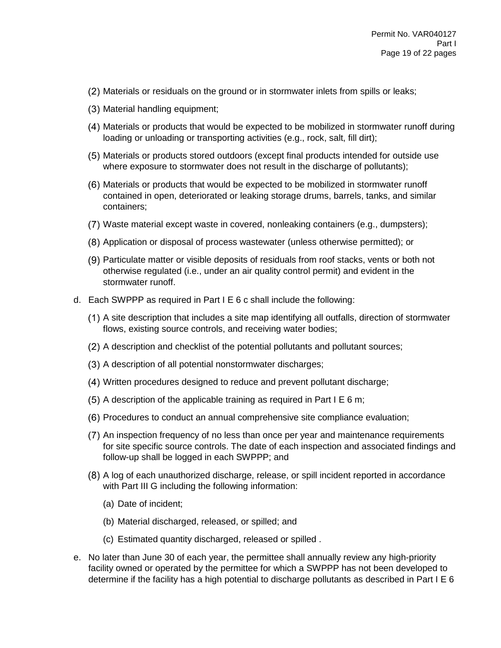- (2) Materials or residuals on the ground or in stormwater inlets from spills or leaks;
- (3) Material handling equipment;
- Materials or products that would be expected to be mobilized in stormwater runoff during loading or unloading or transporting activities (e.g., rock, salt, fill dirt);
- Materials or products stored outdoors (except final products intended for outside use where exposure to stormwater does not result in the discharge of pollutants);
- Materials or products that would be expected to be mobilized in stormwater runoff contained in open, deteriorated or leaking storage drums, barrels, tanks, and similar containers;
- Waste material except waste in covered, nonleaking containers (e.g., dumpsters);
- Application or disposal of process wastewater (unless otherwise permitted); or
- Particulate matter or visible deposits of residuals from roof stacks, vents or both not otherwise regulated (i.e., under an air quality control permit) and evident in the stormwater runoff.
- d. Each SWPPP as required in Part I E 6 c shall include the following:
	- A site description that includes a site map identifying all outfalls, direction of stormwater flows, existing source controls, and receiving water bodies;
	- (2) A description and checklist of the potential pollutants and pollutant sources;
	- (3) A description of all potential nonstormwater discharges;
	- Written procedures designed to reduce and prevent pollutant discharge;
	- $(5)$  A description of the applicable training as required in Part I E 6 m;
	- Procedures to conduct an annual comprehensive site compliance evaluation;
	- An inspection frequency of no less than once per year and maintenance requirements for site specific source controls. The date of each inspection and associated findings and follow-up shall be logged in each SWPPP; and
	- A log of each unauthorized discharge, release, or spill incident reported in accordance with Part III G including the following information:
		- (a) Date of incident;
		- (b) Material discharged, released, or spilled; and
		- (c) Estimated quantity discharged, released or spilled .
- e. No later than June 30 of each year, the permittee shall annually review any high-priority facility owned or operated by the permittee for which a SWPPP has not been developed to determine if the facility has a high potential to discharge pollutants as described in Part I E 6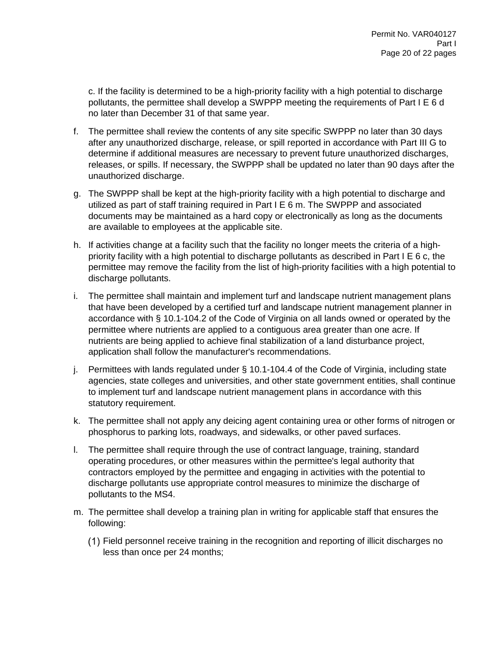c. If the facility is determined to be a high-priority facility with a high potential to discharge pollutants, the permittee shall develop a SWPPP meeting the requirements of Part I E 6 d no later than December 31 of that same year.

- f. The permittee shall review the contents of any site specific SWPPP no later than 30 days after any unauthorized discharge, release, or spill reported in accordance with Part III G to determine if additional measures are necessary to prevent future unauthorized discharges, releases, or spills. If necessary, the SWPPP shall be updated no later than 90 days after the unauthorized discharge.
- g. The SWPPP shall be kept at the high-priority facility with a high potential to discharge and utilized as part of staff training required in Part I E 6 m. The SWPPP and associated documents may be maintained as a hard copy or electronically as long as the documents are available to employees at the applicable site.
- h. If activities change at a facility such that the facility no longer meets the criteria of a highpriority facility with a high potential to discharge pollutants as described in Part I E 6 c, the permittee may remove the facility from the list of high-priority facilities with a high potential to discharge pollutants.
- i. The permittee shall maintain and implement turf and landscape nutrient management plans that have been developed by a certified turf and landscape nutrient management planner in accordance with § 10.1-104.2 of the Code of Virginia on all lands owned or operated by the permittee where nutrients are applied to a contiguous area greater than one acre. If nutrients are being applied to achieve final stabilization of a land disturbance project, application shall follow the manufacturer's recommendations.
- j. Permittees with lands regulated under § 10.1-104.4 of the Code of Virginia, including state agencies, state colleges and universities, and other state government entities, shall continue to implement turf and landscape nutrient management plans in accordance with this statutory requirement.
- k. The permittee shall not apply any deicing agent containing urea or other forms of nitrogen or phosphorus to parking lots, roadways, and sidewalks, or other paved surfaces.
- l. The permittee shall require through the use of contract language, training, standard operating procedures, or other measures within the permittee's legal authority that contractors employed by the permittee and engaging in activities with the potential to discharge pollutants use appropriate control measures to minimize the discharge of pollutants to the MS4.
- m. The permittee shall develop a training plan in writing for applicable staff that ensures the following:
	- Field personnel receive training in the recognition and reporting of illicit discharges no less than once per 24 months;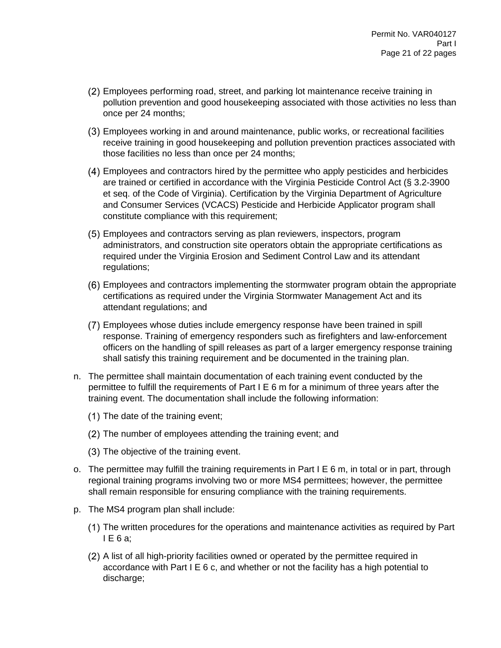- Employees performing road, street, and parking lot maintenance receive training in pollution prevention and good housekeeping associated with those activities no less than once per 24 months;
- Employees working in and around maintenance, public works, or recreational facilities receive training in good housekeeping and pollution prevention practices associated with those facilities no less than once per 24 months;
- Employees and contractors hired by the permittee who apply pesticides and herbicides are trained or certified in accordance with the Virginia Pesticide Control Act (§ 3.2-3900 et seq. of the Code of Virginia). Certification by the Virginia Department of Agriculture and Consumer Services (VCACS) Pesticide and Herbicide Applicator program shall constitute compliance with this requirement;
- Employees and contractors serving as plan reviewers, inspectors, program administrators, and construction site operators obtain the appropriate certifications as required under the Virginia Erosion and Sediment Control Law and its attendant regulations;
- Employees and contractors implementing the stormwater program obtain the appropriate certifications as required under the Virginia Stormwater Management Act and its attendant regulations; and
- Employees whose duties include emergency response have been trained in spill response. Training of emergency responders such as firefighters and law-enforcement officers on the handling of spill releases as part of a larger emergency response training shall satisfy this training requirement and be documented in the training plan.
- n. The permittee shall maintain documentation of each training event conducted by the permittee to fulfill the requirements of Part I E 6 m for a minimum of three years after the training event. The documentation shall include the following information:
	- $(1)$  The date of the training event;
	- (2) The number of employees attending the training event; and
	- (3) The objective of the training event.
- o. The permittee may fulfill the training requirements in Part I E 6 m, in total or in part, through regional training programs involving two or more MS4 permittees; however, the permittee shall remain responsible for ensuring compliance with the training requirements.
- p. The MS4 program plan shall include:
	- The written procedures for the operations and maintenance activities as required by Part I E 6 a;
	- A list of all high-priority facilities owned or operated by the permittee required in accordance with Part I E 6 c, and whether or not the facility has a high potential to discharge;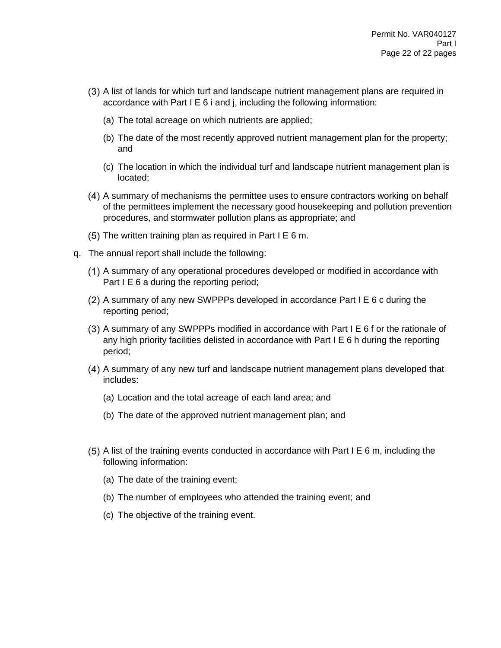- A list of lands for which turf and landscape nutrient management plans are required in accordance with Part I E 6 i and j, including the following information:
	- (a) The total acreage on which nutrients are applied;
	- (b) The date of the most recently approved nutrient management plan for the property; and
	- (c) The location in which the individual turf and landscape nutrient management plan is located;
- A summary of mechanisms the permittee uses to ensure contractors working on behalf of the permittees implement the necessary good housekeeping and pollution prevention procedures, and stormwater pollution plans as appropriate; and
- $(5)$  The written training plan as required in Part I E 6 m.
- q. The annual report shall include the following:
	- A summary of any operational procedures developed or modified in accordance with Part I E 6 a during the reporting period;
	- $(2)$  A summary of any new SWPPPs developed in accordance Part I E 6 c during the reporting period;
	- A summary of any SWPPPs modified in accordance with Part I E 6 f or the rationale of any high priority facilities delisted in accordance with Part I E 6 h during the reporting period;
	- A summary of any new turf and landscape nutrient management plans developed that includes:
		- (a) Location and the total acreage of each land area; and
		- (b) The date of the approved nutrient management plan; and
	- $(5)$  A list of the training events conducted in accordance with Part I E 6 m, including the following information:
		- (a) The date of the training event;
		- (b) The number of employees who attended the training event; and
		- (c) The objective of the training event.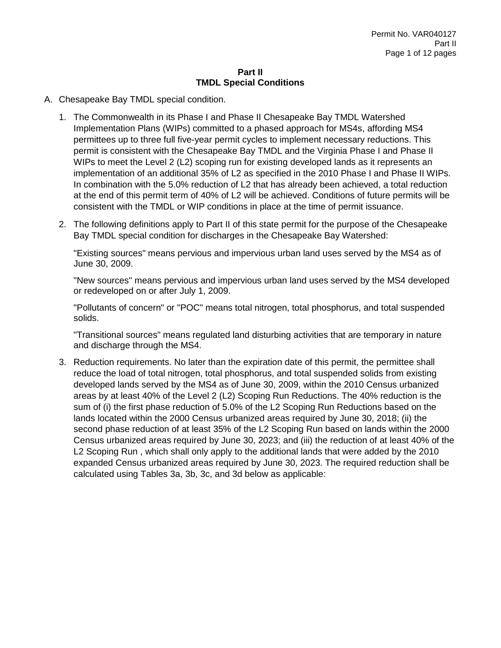#### **Part II TMDL Special Conditions**

- A. Chesapeake Bay TMDL special condition.
	- 1. The Commonwealth in its Phase I and Phase II Chesapeake Bay TMDL Watershed Implementation Plans (WIPs) committed to a phased approach for MS4s, affording MS4 permittees up to three full five-year permit cycles to implement necessary reductions. This permit is consistent with the Chesapeake Bay TMDL and the Virginia Phase I and Phase II WIPs to meet the Level 2 (L2) scoping run for existing developed lands as it represents an implementation of an additional 35% of L2 as specified in the 2010 Phase I and Phase II WIPs. In combination with the 5.0% reduction of L2 that has already been achieved, a total reduction at the end of this permit term of 40% of L2 will be achieved. Conditions of future permits will be consistent with the TMDL or WIP conditions in place at the time of permit issuance.
	- 2. The following definitions apply to Part II of this state permit for the purpose of the Chesapeake Bay TMDL special condition for discharges in the Chesapeake Bay Watershed:

"Existing sources" means pervious and impervious urban land uses served by the MS4 as of June 30, 2009.

"New sources" means pervious and impervious urban land uses served by the MS4 developed or redeveloped on or after July 1, 2009.

"Pollutants of concern" or "POC" means total nitrogen, total phosphorus, and total suspended solids.

"Transitional sources" means regulated land disturbing activities that are temporary in nature and discharge through the MS4.

3. Reduction requirements. No later than the expiration date of this permit, the permittee shall reduce the load of total nitrogen, total phosphorus, and total suspended solids from existing developed lands served by the MS4 as of June 30, 2009, within the 2010 Census urbanized areas by at least 40% of the Level 2 (L2) Scoping Run Reductions. The 40% reduction is the sum of (i) the first phase reduction of 5.0% of the L2 Scoping Run Reductions based on the lands located within the 2000 Census urbanized areas required by June 30, 2018; (ii) the second phase reduction of at least 35% of the L2 Scoping Run based on lands within the 2000 Census urbanized areas required by June 30, 2023; and (iii) the reduction of at least 40% of the L2 Scoping Run , which shall only apply to the additional lands that were added by the 2010 expanded Census urbanized areas required by June 30, 2023. The required reduction shall be calculated using Tables 3a, 3b, 3c, and 3d below as applicable: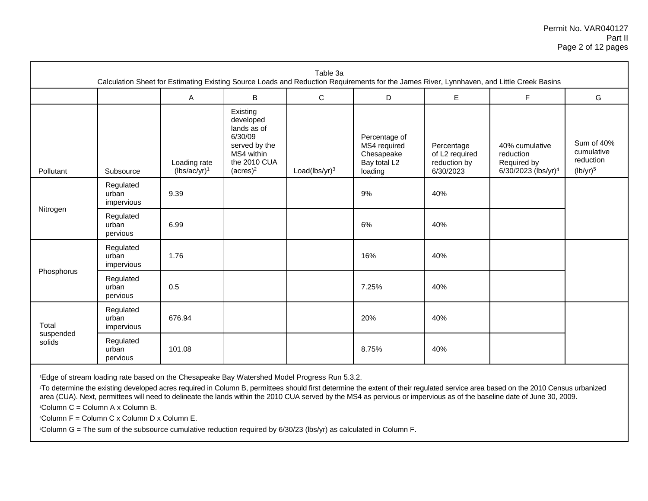|                     |                                  |                                 |                                                                                                               | Table 3a         |                                                                        |                                                           | Calculation Sheet for Estimating Existing Source Loads and Reduction Requirements for the James River, Lynnhaven, and Little Creek Basins |                                                      |
|---------------------|----------------------------------|---------------------------------|---------------------------------------------------------------------------------------------------------------|------------------|------------------------------------------------------------------------|-----------------------------------------------------------|-------------------------------------------------------------------------------------------------------------------------------------------|------------------------------------------------------|
|                     |                                  | $\mathsf{A}$                    | B                                                                                                             | $\mathsf C$      | D                                                                      | E.                                                        | $\mathsf F$                                                                                                                               | G                                                    |
| Pollutant           | Subsource                        | Loading rate<br>$(lbs/ac/yr)^1$ | Existing<br>developed<br>lands as of<br>6/30/09<br>served by the<br>MS4 within<br>the 2010 CUA<br>$(acres)^2$ | Load(lbs/yr) $3$ | Percentage of<br>MS4 required<br>Chesapeake<br>Bay total L2<br>loading | Percentage<br>of L2 required<br>reduction by<br>6/30/2023 | 40% cumulative<br>reduction<br>Required by<br>6/30/2023 (lbs/yr) <sup>4</sup>                                                             | Sum of 40%<br>cumulative<br>reduction<br>$(lb/yr)^5$ |
|                     | Regulated<br>urban<br>impervious | 9.39                            |                                                                                                               |                  | 9%                                                                     | 40%                                                       |                                                                                                                                           |                                                      |
| Nitrogen            | Regulated<br>urban<br>pervious   | 6.99                            |                                                                                                               |                  | 6%                                                                     | 40%                                                       |                                                                                                                                           |                                                      |
|                     | Regulated<br>urban<br>impervious | 1.76                            |                                                                                                               |                  | 16%                                                                    | 40%                                                       |                                                                                                                                           |                                                      |
| Phosphorus          | Regulated<br>urban<br>pervious   | 0.5                             |                                                                                                               |                  | 7.25%                                                                  | 40%                                                       |                                                                                                                                           |                                                      |
| Total               | Regulated<br>urban<br>impervious | 676.94                          |                                                                                                               |                  | 20%                                                                    | 40%                                                       |                                                                                                                                           |                                                      |
| suspended<br>solids | Regulated<br>urban<br>pervious   | 101.08                          |                                                                                                               |                  | 8.75%                                                                  | 40%                                                       |                                                                                                                                           |                                                      |

<sup>1</sup>Edge of stream loading rate based on the Chesapeake Bay Watershed Model Progress Run 5.3.2.

<sup>2</sup>To determine the existing developed acres required in Column B, permittees should first determine the extent of their regulated service area based on the 2010 Census urbanized area (CUA). Next, permittees will need to delineate the lands within the 2010 CUA served by the MS4 as pervious or impervious as of the baseline date of June 30, 2009.

<sup>3</sup>Column C = Column A x Column B.

 $4$ Column F = Column C x Column D x Column E.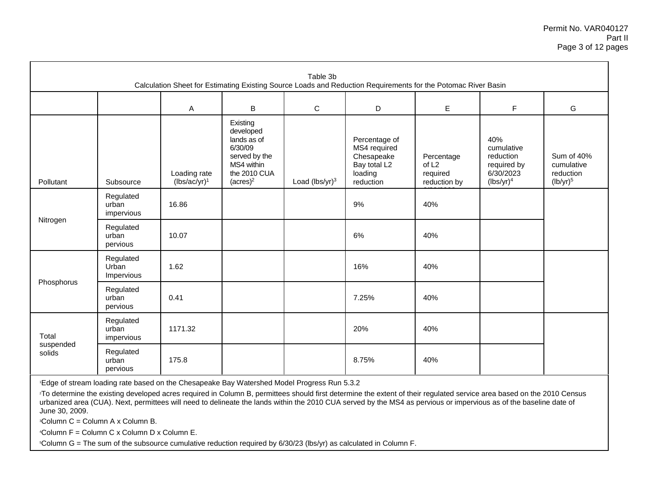#### Permit No. VAR040127 Part II Page 3 of 12 pages

| Table 3b<br>Calculation Sheet for Estimating Existing Source Loads and Reduction Requirements for the Potomac River Basin |                                  |                                 |                                                                                                               |                   |                                                                                     |                                                             |                                                                            |                                                      |
|---------------------------------------------------------------------------------------------------------------------------|----------------------------------|---------------------------------|---------------------------------------------------------------------------------------------------------------|-------------------|-------------------------------------------------------------------------------------|-------------------------------------------------------------|----------------------------------------------------------------------------|------------------------------------------------------|
|                                                                                                                           |                                  | $\mathsf{A}$                    | B                                                                                                             | $\mathbf C$       | D                                                                                   | E.                                                          | $\mathsf F$                                                                | G                                                    |
| Pollutant                                                                                                                 | Subsource                        | Loading rate<br>$(lbs/ac/yr)^1$ | Existing<br>developed<br>lands as of<br>6/30/09<br>served by the<br>MS4 within<br>the 2010 CUA<br>$(acres)^2$ | Load $(lbs/yr)^3$ | Percentage of<br>MS4 required<br>Chesapeake<br>Bay total L2<br>loading<br>reduction | Percentage<br>of L <sub>2</sub><br>required<br>reduction by | 40%<br>cumulative<br>reduction<br>required by<br>6/30/2023<br>$(lbs/yr)^4$ | Sum of 40%<br>cumulative<br>reduction<br>$(lb/yr)^5$ |
|                                                                                                                           | Regulated<br>urban<br>impervious | 16.86                           |                                                                                                               |                   | 9%                                                                                  | 40%                                                         |                                                                            |                                                      |
| Nitrogen                                                                                                                  | Regulated<br>urban<br>pervious   | 10.07                           |                                                                                                               |                   | 6%                                                                                  | 40%                                                         |                                                                            |                                                      |
|                                                                                                                           | Regulated<br>Urban<br>Impervious | 1.62                            |                                                                                                               |                   | 16%                                                                                 | 40%                                                         |                                                                            |                                                      |
| Phosphorus                                                                                                                | Regulated<br>urban<br>pervious   | 0.41                            |                                                                                                               |                   | 7.25%                                                                               | 40%                                                         |                                                                            |                                                      |
| Total                                                                                                                     | Regulated<br>urban<br>impervious | 1171.32                         |                                                                                                               |                   | 20%                                                                                 | 40%                                                         |                                                                            |                                                      |
| suspended<br>solids                                                                                                       | Regulated<br>urban<br>pervious   | 175.8                           |                                                                                                               |                   | 8.75%                                                                               | 40%                                                         |                                                                            |                                                      |

<sup>1</sup>Edge of stream loading rate based on the Chesapeake Bay Watershed Model Progress Run 5.3.2

<sup>2</sup>To determine the existing developed acres required in Column B, permittees should first determine the extent of their regulated service area based on the 2010 Census urbanized area (CUA). Next, permittees will need to delineate the lands within the 2010 CUA served by the MS4 as pervious or impervious as of the baseline date of June 30, 2009.

<sup>3</sup>Column C = Column A x Column B.

<sup>4</sup>Column F = Column C x Column D x Column E.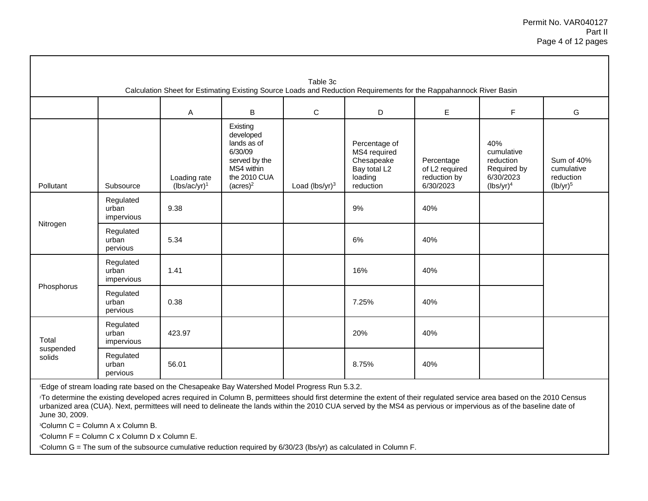|                     |                                  |                                 |                                                                                                               | Table 3c          | Calculation Sheet for Estimating Existing Source Loads and Reduction Requirements for the Rappahannock River Basin |                                                           |                                                                            |                                                      |
|---------------------|----------------------------------|---------------------------------|---------------------------------------------------------------------------------------------------------------|-------------------|--------------------------------------------------------------------------------------------------------------------|-----------------------------------------------------------|----------------------------------------------------------------------------|------------------------------------------------------|
|                     |                                  | Α                               | B                                                                                                             | C                 | D                                                                                                                  | E                                                         | F                                                                          | G                                                    |
| Pollutant           | Subsource                        | Loading rate<br>$(lbs/ac/yr)^1$ | Existing<br>developed<br>lands as of<br>6/30/09<br>served by the<br>MS4 within<br>the 2010 CUA<br>$(acres)^2$ | Load $(lbs/yr)^3$ | Percentage of<br>MS4 required<br>Chesapeake<br>Bay total L2<br>loading<br>reduction                                | Percentage<br>of L2 required<br>reduction by<br>6/30/2023 | 40%<br>cumulative<br>reduction<br>Required by<br>6/30/2023<br>$(lbs/yr)^4$ | Sum of 40%<br>cumulative<br>reduction<br>$(lb/yr)^5$ |
|                     | Regulated<br>urban<br>impervious | 9.38                            |                                                                                                               |                   | 9%                                                                                                                 | 40%                                                       |                                                                            |                                                      |
| Nitrogen            | Regulated<br>urban<br>pervious   | 5.34                            |                                                                                                               |                   | 6%                                                                                                                 | 40%                                                       |                                                                            |                                                      |
|                     | Regulated<br>urban<br>impervious | 1.41                            |                                                                                                               |                   | 16%                                                                                                                | 40%                                                       |                                                                            |                                                      |
| Phosphorus          | Regulated<br>urban<br>pervious   | 0.38                            |                                                                                                               |                   | 7.25%                                                                                                              | 40%                                                       |                                                                            |                                                      |
| Total               | Regulated<br>urban<br>impervious | 423.97                          |                                                                                                               |                   | 20%                                                                                                                | 40%                                                       |                                                                            |                                                      |
| suspended<br>solids | Regulated<br>urban<br>pervious   | 56.01                           |                                                                                                               |                   | 8.75%                                                                                                              | 40%                                                       |                                                                            |                                                      |

<sup>1</sup>Edge of stream loading rate based on the Chesapeake Bay Watershed Model Progress Run 5.3.2.

<sup>2</sup>To determine the existing developed acres required in Column B, permittees should first determine the extent of their regulated service area based on the 2010 Census urbanized area (CUA). Next, permittees will need to delineate the lands within the 2010 CUA served by the MS4 as pervious or impervious as of the baseline date of June 30, 2009.

<sup>3</sup>Column C = Column A x Column B.

 $4$ Column F = Column C x Column D x Column E.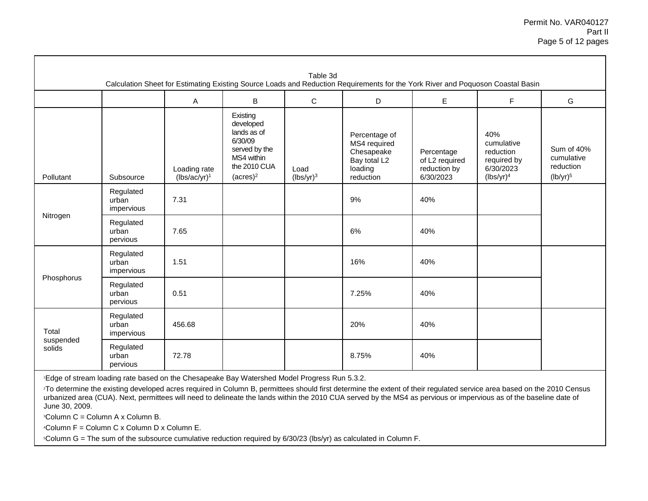|                              |                                  |                                 |                                                                                                               | Table 3d             | Calculation Sheet for Estimating Existing Source Loads and Reduction Requirements for the York River and Poquoson Coastal Basin |                                                           |                                                                            |                                                      |
|------------------------------|----------------------------------|---------------------------------|---------------------------------------------------------------------------------------------------------------|----------------------|---------------------------------------------------------------------------------------------------------------------------------|-----------------------------------------------------------|----------------------------------------------------------------------------|------------------------------------------------------|
|                              |                                  | A                               | B                                                                                                             | C                    | D                                                                                                                               | E.                                                        | F                                                                          | G                                                    |
| Pollutant                    | Subsource                        | Loading rate<br>$(lbs/ac/yr)^1$ | Existing<br>developed<br>lands as of<br>6/30/09<br>served by the<br>MS4 within<br>the 2010 CUA<br>$(acres)^2$ | Load<br>$(lbs/yr)^3$ | Percentage of<br>MS4 required<br>Chesapeake<br>Bay total L2<br>loading<br>reduction                                             | Percentage<br>of L2 required<br>reduction by<br>6/30/2023 | 40%<br>cumulative<br>reduction<br>required by<br>6/30/2023<br>$(lbs/yr)^4$ | Sum of 40%<br>cumulative<br>reduction<br>$(lb/yr)^5$ |
| Nitrogen                     | Regulated<br>urban<br>impervious | 7.31                            |                                                                                                               |                      | 9%                                                                                                                              | 40%                                                       |                                                                            |                                                      |
|                              | Regulated<br>urban<br>pervious   | 7.65                            |                                                                                                               |                      | 6%                                                                                                                              | 40%                                                       |                                                                            |                                                      |
|                              | Regulated<br>urban<br>impervious | 1.51                            |                                                                                                               |                      | 16%                                                                                                                             | 40%                                                       |                                                                            |                                                      |
| Phosphorus                   | Regulated<br>urban<br>pervious   | 0.51                            |                                                                                                               |                      | 7.25%                                                                                                                           | 40%                                                       |                                                                            |                                                      |
| Total<br>suspended<br>solids | Regulated<br>urban<br>impervious | 456.68                          |                                                                                                               |                      | 20%                                                                                                                             | 40%                                                       |                                                                            |                                                      |
|                              | Regulated<br>urban<br>pervious   | 72.78                           |                                                                                                               |                      | 8.75%                                                                                                                           | 40%                                                       |                                                                            |                                                      |

<sup>1</sup>Edge of stream loading rate based on the Chesapeake Bay Watershed Model Progress Run 5.3.2.

<sup>2</sup>To determine the existing developed acres required in Column B, permittees should first determine the extent of their regulated service area based on the 2010 Census urbanized area (CUA). Next, permittees will need to delineate the lands within the 2010 CUA served by the MS4 as pervious or impervious as of the baseline date of June 30, 2009.

 ${}^3$ Column C = Column A x Column B.

 $4$ Column F = Column C x Column D x Column E.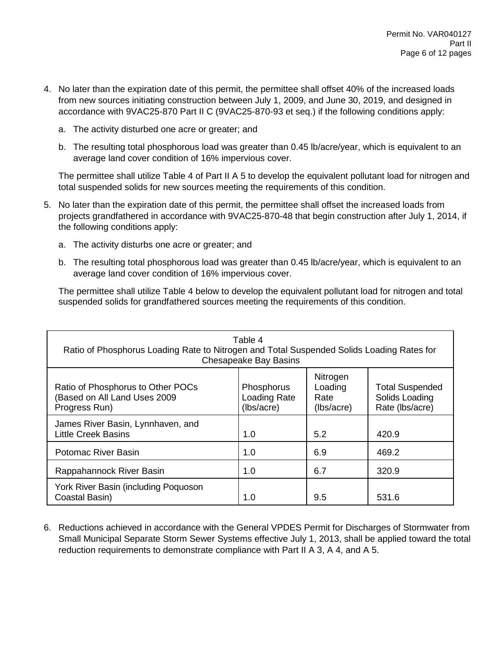- 4. No later than the expiration date of this permit, the permittee shall offset 40% of the increased loads from new sources initiating construction between July 1, 2009, and June 30, 2019, and designed in accordance with 9VAC25-870 Part II C (9VAC25-870-93 et seq.) if the following conditions apply:
	- a. The activity disturbed one acre or greater; and
	- b. The resulting total phosphorous load was greater than 0.45 lb/acre/year, which is equivalent to an average land cover condition of 16% impervious cover.

The permittee shall utilize Table 4 of Part II A 5 to develop the equivalent pollutant load for nitrogen and total suspended solids for new sources meeting the requirements of this condition.

- 5. No later than the expiration date of this permit, the permittee shall offset the increased loads from projects grandfathered in accordance with 9VAC25-870-48 that begin construction after July 1, 2014, if the following conditions apply:
	- a. The activity disturbs one acre or greater; and
	- b. The resulting total phosphorous load was greater than 0.45 lb/acre/year, which is equivalent to an average land cover condition of 16% impervious cover.

The permittee shall utilize Table 4 below to develop the equivalent pollutant load for nitrogen and total suspended solids for grandfathered sources meeting the requirements of this condition.

| Table 4<br>Ratio of Phosphorus Loading Rate to Nitrogen and Total Suspended Solids Loading Rates for<br><b>Chesapeake Bay Basins</b> |                                          |                                           |                                                             |  |  |
|--------------------------------------------------------------------------------------------------------------------------------------|------------------------------------------|-------------------------------------------|-------------------------------------------------------------|--|--|
| Ratio of Phosphorus to Other POCs<br>(Based on All Land Uses 2009<br>Progress Run)                                                   | Phosphorus<br>Loading Rate<br>(lbs/acre) | Nitrogen<br>Loading<br>Rate<br>(lbs/acre) | <b>Total Suspended</b><br>Solids Loading<br>Rate (lbs/acre) |  |  |
| James River Basin, Lynnhaven, and<br><b>Little Creek Basins</b>                                                                      | 1.0                                      | 5.2                                       | 420.9                                                       |  |  |
| <b>Potomac River Basin</b>                                                                                                           | 1.0                                      | 6.9                                       | 469.2                                                       |  |  |
| Rappahannock River Basin                                                                                                             | 1.0                                      | 6.7                                       | 320.9                                                       |  |  |
| York River Basin (including Poquoson<br>Coastal Basin)                                                                               | 1.0                                      | 9.5                                       | 531.6                                                       |  |  |

6. Reductions achieved in accordance with the General VPDES Permit for Discharges of Stormwater from Small Municipal Separate Storm Sewer Systems effective July 1, 2013, shall be applied toward the total reduction requirements to demonstrate compliance with Part II A 3, A 4, and A 5.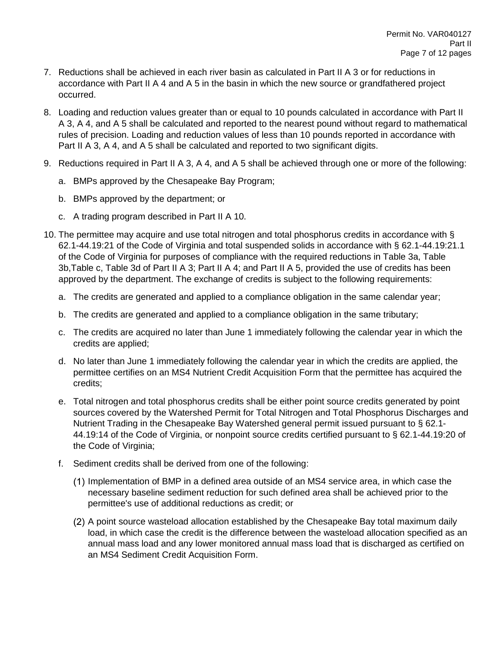- 7. Reductions shall be achieved in each river basin as calculated in Part II A 3 or for reductions in accordance with Part II A 4 and A 5 in the basin in which the new source or grandfathered project occurred.
- 8. Loading and reduction values greater than or equal to 10 pounds calculated in accordance with Part II A 3, A 4, and A 5 shall be calculated and reported to the nearest pound without regard to mathematical rules of precision. Loading and reduction values of less than 10 pounds reported in accordance with Part II A 3, A 4, and A 5 shall be calculated and reported to two significant digits.
- 9. Reductions required in Part II A 3, A 4, and A 5 shall be achieved through one or more of the following:
	- a. BMPs approved by the Chesapeake Bay Program;
	- b. BMPs approved by the department; or
	- c. A trading program described in Part II A 10.
- 10. The permittee may acquire and use total nitrogen and total phosphorus credits in accordance with § 62.1-44.19:21 of the Code of Virginia and total suspended solids in accordance with § 62.1-44.19:21.1 of the Code of Virginia for purposes of compliance with the required reductions in Table 3a, Table 3b,Table c, Table 3d of Part II A 3; Part II A 4; and Part II A 5, provided the use of credits has been approved by the department. The exchange of credits is subject to the following requirements:
	- a. The credits are generated and applied to a compliance obligation in the same calendar year;
	- b. The credits are generated and applied to a compliance obligation in the same tributary;
	- c. The credits are acquired no later than June 1 immediately following the calendar year in which the credits are applied;
	- d. No later than June 1 immediately following the calendar year in which the credits are applied, the permittee certifies on an MS4 Nutrient Credit Acquisition Form that the permittee has acquired the credits;
	- e. Total nitrogen and total phosphorus credits shall be either point source credits generated by point sources covered by the Watershed Permit for Total Nitrogen and Total Phosphorus Discharges and Nutrient Trading in the Chesapeake Bay Watershed general permit issued pursuant to § 62.1- 44.19:14 of the Code of Virginia, or nonpoint source credits certified pursuant to § 62.1-44.19:20 of the Code of Virginia;
	- f. Sediment credits shall be derived from one of the following:
		- (1) Implementation of BMP in a defined area outside of an MS4 service area, in which case the necessary baseline sediment reduction for such defined area shall be achieved prior to the permittee's use of additional reductions as credit; or
		- A point source wasteload allocation established by the Chesapeake Bay total maximum daily load, in which case the credit is the difference between the wasteload allocation specified as an annual mass load and any lower monitored annual mass load that is discharged as certified on an MS4 Sediment Credit Acquisition Form.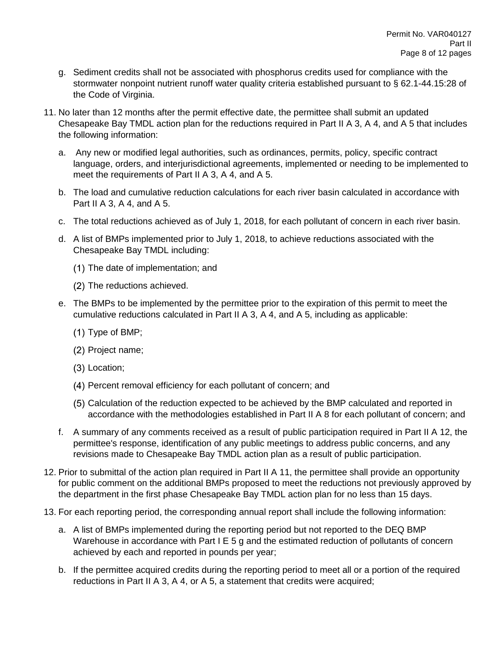- g. Sediment credits shall not be associated with phosphorus credits used for compliance with the stormwater nonpoint nutrient runoff water quality criteria established pursuant to § 62.1-44.15:28 of the Code of Virginia.
- 11. No later than 12 months after the permit effective date, the permittee shall submit an updated Chesapeake Bay TMDL action plan for the reductions required in Part II A 3, A 4, and A 5 that includes the following information:
	- a. Any new or modified legal authorities, such as ordinances, permits, policy, specific contract language, orders, and interjurisdictional agreements, implemented or needing to be implemented to meet the requirements of Part II A 3, A 4, and A 5.
	- b. The load and cumulative reduction calculations for each river basin calculated in accordance with Part II A 3, A 4, and A 5.
	- c. The total reductions achieved as of July 1, 2018, for each pollutant of concern in each river basin.
	- d. A list of BMPs implemented prior to July 1, 2018, to achieve reductions associated with the Chesapeake Bay TMDL including:
		- (1) The date of implementation; and
		- (2) The reductions achieved.
	- e. The BMPs to be implemented by the permittee prior to the expiration of this permit to meet the cumulative reductions calculated in Part II A 3, A 4, and A 5, including as applicable:
		- $(1)$  Type of BMP;
		- (2) Project name;
		- Location;
		- Percent removal efficiency for each pollutant of concern; and
		- Calculation of the reduction expected to be achieved by the BMP calculated and reported in accordance with the methodologies established in Part II A 8 for each pollutant of concern; and
	- f. A summary of any comments received as a result of public participation required in Part II A 12, the permittee's response, identification of any public meetings to address public concerns, and any revisions made to Chesapeake Bay TMDL action plan as a result of public participation.
- 12. Prior to submittal of the action plan required in Part II A 11, the permittee shall provide an opportunity for public comment on the additional BMPs proposed to meet the reductions not previously approved by the department in the first phase Chesapeake Bay TMDL action plan for no less than 15 days.
- 13. For each reporting period, the corresponding annual report shall include the following information:
	- a. A list of BMPs implemented during the reporting period but not reported to the DEQ BMP Warehouse in accordance with Part I E 5 g and the estimated reduction of pollutants of concern achieved by each and reported in pounds per year;
	- b. If the permittee acquired credits during the reporting period to meet all or a portion of the required reductions in Part II A 3, A 4, or A 5, a statement that credits were acquired;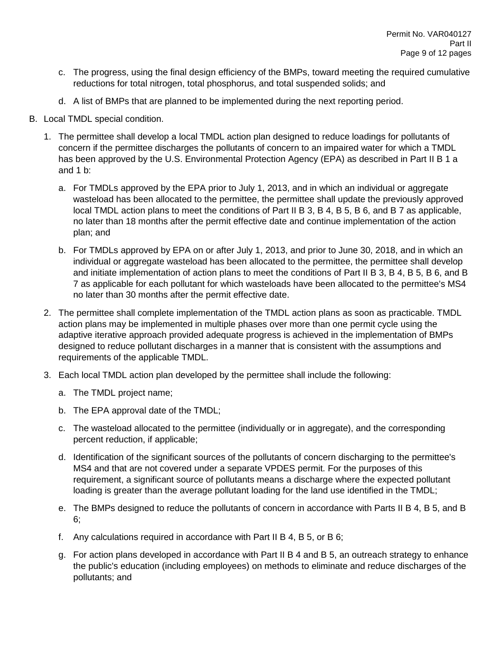- c. The progress, using the final design efficiency of the BMPs, toward meeting the required cumulative reductions for total nitrogen, total phosphorus, and total suspended solids; and
- d. A list of BMPs that are planned to be implemented during the next reporting period.
- B. Local TMDL special condition.
	- 1. The permittee shall develop a local TMDL action plan designed to reduce loadings for pollutants of concern if the permittee discharges the pollutants of concern to an impaired water for which a TMDL has been approved by the U.S. Environmental Protection Agency (EPA) as described in Part II B 1 a and 1 b:
		- a. For TMDLs approved by the EPA prior to July 1, 2013, and in which an individual or aggregate wasteload has been allocated to the permittee, the permittee shall update the previously approved local TMDL action plans to meet the conditions of Part II B 3, B 4, B 5, B 6, and B 7 as applicable, no later than 18 months after the permit effective date and continue implementation of the action plan; and
		- b. For TMDLs approved by EPA on or after July 1, 2013, and prior to June 30, 2018, and in which an individual or aggregate wasteload has been allocated to the permittee, the permittee shall develop and initiate implementation of action plans to meet the conditions of Part II B 3, B 4, B 5, B 6, and B 7 as applicable for each pollutant for which wasteloads have been allocated to the permittee's MS4 no later than 30 months after the permit effective date.
	- 2. The permittee shall complete implementation of the TMDL action plans as soon as practicable. TMDL action plans may be implemented in multiple phases over more than one permit cycle using the adaptive iterative approach provided adequate progress is achieved in the implementation of BMPs designed to reduce pollutant discharges in a manner that is consistent with the assumptions and requirements of the applicable TMDL.
	- 3. Each local TMDL action plan developed by the permittee shall include the following:
		- a. The TMDL project name;
		- b. The EPA approval date of the TMDL;
		- c. The wasteload allocated to the permittee (individually or in aggregate), and the corresponding percent reduction, if applicable;
		- d. Identification of the significant sources of the pollutants of concern discharging to the permittee's MS4 and that are not covered under a separate VPDES permit. For the purposes of this requirement, a significant source of pollutants means a discharge where the expected pollutant loading is greater than the average pollutant loading for the land use identified in the TMDL;
		- e. The BMPs designed to reduce the pollutants of concern in accordance with Parts II B 4, B 5, and B 6;
		- f. Any calculations required in accordance with Part II B 4, B 5, or B 6;
		- g. For action plans developed in accordance with Part II B 4 and B 5, an outreach strategy to enhance the public's education (including employees) on methods to eliminate and reduce discharges of the pollutants; and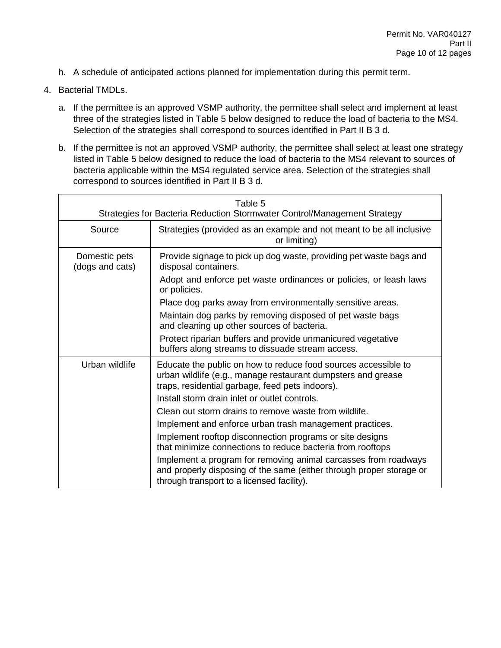- h. A schedule of anticipated actions planned for implementation during this permit term.
- 4. Bacterial TMDLs.
	- a. If the permittee is an approved VSMP authority, the permittee shall select and implement at least three of the strategies listed in Table 5 below designed to reduce the load of bacteria to the MS4. Selection of the strategies shall correspond to sources identified in Part II B 3 d.
	- b. If the permittee is not an approved VSMP authority, the permittee shall select at least one strategy listed in Table 5 below designed to reduce the load of bacteria to the MS4 relevant to sources of bacteria applicable within the MS4 regulated service area. Selection of the strategies shall correspond to sources identified in Part II B 3 d.

| Table 5<br>Strategies for Bacteria Reduction Stormwater Control/Management Strategy |                                                                                                                                                                                                                                                                                                                                                                                                                                                                                                                                                                                                                                                                           |  |  |  |
|-------------------------------------------------------------------------------------|---------------------------------------------------------------------------------------------------------------------------------------------------------------------------------------------------------------------------------------------------------------------------------------------------------------------------------------------------------------------------------------------------------------------------------------------------------------------------------------------------------------------------------------------------------------------------------------------------------------------------------------------------------------------------|--|--|--|
| Source                                                                              | Strategies (provided as an example and not meant to be all inclusive<br>or limiting)                                                                                                                                                                                                                                                                                                                                                                                                                                                                                                                                                                                      |  |  |  |
| Domestic pets<br>(dogs and cats)                                                    | Provide signage to pick up dog waste, providing pet waste bags and<br>disposal containers.<br>Adopt and enforce pet waste ordinances or policies, or leash laws<br>or policies.<br>Place dog parks away from environmentally sensitive areas.                                                                                                                                                                                                                                                                                                                                                                                                                             |  |  |  |
|                                                                                     | Maintain dog parks by removing disposed of pet waste bags<br>and cleaning up other sources of bacteria.<br>Protect riparian buffers and provide unmanicured vegetative<br>buffers along streams to dissuade stream access.                                                                                                                                                                                                                                                                                                                                                                                                                                                |  |  |  |
| Urban wildlife                                                                      | Educate the public on how to reduce food sources accessible to<br>urban wildlife (e.g., manage restaurant dumpsters and grease<br>traps, residential garbage, feed pets indoors).<br>Install storm drain inlet or outlet controls.<br>Clean out storm drains to remove waste from wildlife.<br>Implement and enforce urban trash management practices.<br>Implement rooftop disconnection programs or site designs<br>that minimize connections to reduce bacteria from rooftops<br>Implement a program for removing animal carcasses from roadways<br>and properly disposing of the same (either through proper storage or<br>through transport to a licensed facility). |  |  |  |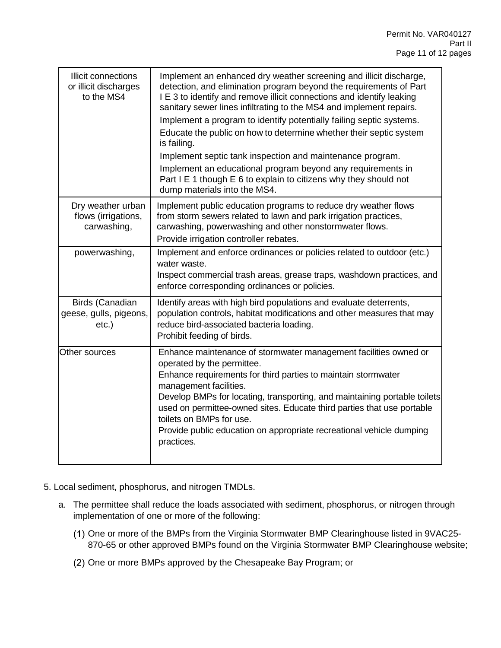| Illicit connections<br>or illicit discharges<br>to the MS4 | Implement an enhanced dry weather screening and illicit discharge,<br>detection, and elimination program beyond the requirements of Part<br>I E 3 to identify and remove illicit connections and identify leaking<br>sanitary sewer lines infiltrating to the MS4 and implement repairs.<br>Implement a program to identify potentially failing septic systems.<br>Educate the public on how to determine whether their septic system<br>is failing.<br>Implement septic tank inspection and maintenance program.<br>Implement an educational program beyond any requirements in<br>Part I E 1 though E 6 to explain to citizens why they should not<br>dump materials into the MS4. |
|------------------------------------------------------------|--------------------------------------------------------------------------------------------------------------------------------------------------------------------------------------------------------------------------------------------------------------------------------------------------------------------------------------------------------------------------------------------------------------------------------------------------------------------------------------------------------------------------------------------------------------------------------------------------------------------------------------------------------------------------------------|
| Dry weather urban<br>flows (irrigations,<br>carwashing,    | Implement public education programs to reduce dry weather flows<br>from storm sewers related to lawn and park irrigation practices,<br>carwashing, powerwashing and other nonstormwater flows.<br>Provide irrigation controller rebates.                                                                                                                                                                                                                                                                                                                                                                                                                                             |
| powerwashing,                                              | Implement and enforce ordinances or policies related to outdoor (etc.)<br>water waste.<br>Inspect commercial trash areas, grease traps, washdown practices, and<br>enforce corresponding ordinances or policies.                                                                                                                                                                                                                                                                                                                                                                                                                                                                     |
| Birds (Canadian<br>geese, gulls, pigeons,<br>$etc.$ )      | Identify areas with high bird populations and evaluate deterrents,<br>population controls, habitat modifications and other measures that may<br>reduce bird-associated bacteria loading.<br>Prohibit feeding of birds.                                                                                                                                                                                                                                                                                                                                                                                                                                                               |
| Other sources                                              | Enhance maintenance of stormwater management facilities owned or<br>operated by the permittee.<br>Enhance requirements for third parties to maintain stormwater<br>management facilities.<br>Develop BMPs for locating, transporting, and maintaining portable toilets<br>used on permittee-owned sites. Educate third parties that use portable<br>toilets on BMPs for use.<br>Provide public education on appropriate recreational vehicle dumping<br>practices.                                                                                                                                                                                                                   |

- 5. Local sediment, phosphorus, and nitrogen TMDLs.
	- a. The permittee shall reduce the loads associated with sediment, phosphorus, or nitrogen through implementation of one or more of the following:
		- (1) One or more of the BMPs from the Virginia Stormwater BMP Clearinghouse listed in 9VAC25-870-65 or other approved BMPs found on the Virginia Stormwater BMP Clearinghouse website;
		- (2) One or more BMPs approved by the Chesapeake Bay Program; or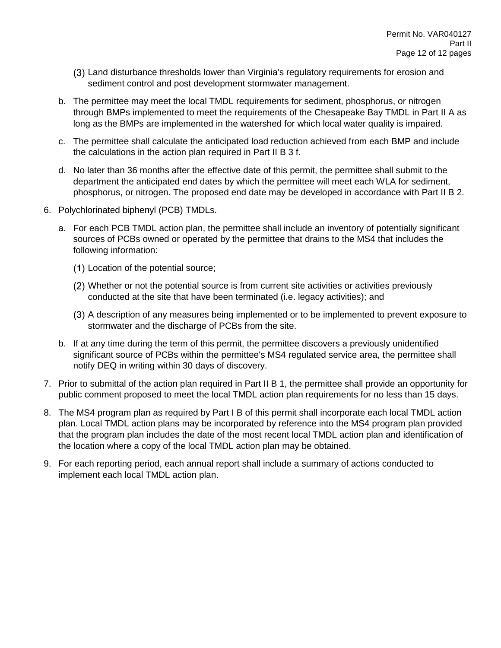- Land disturbance thresholds lower than Virginia's regulatory requirements for erosion and sediment control and post development stormwater management.
- b. The permittee may meet the local TMDL requirements for sediment, phosphorus, or nitrogen through BMPs implemented to meet the requirements of the Chesapeake Bay TMDL in Part II A as long as the BMPs are implemented in the watershed for which local water quality is impaired.
- c. The permittee shall calculate the anticipated load reduction achieved from each BMP and include the calculations in the action plan required in Part II B 3 f.
- d. No later than 36 months after the effective date of this permit, the permittee shall submit to the department the anticipated end dates by which the permittee will meet each WLA for sediment, phosphorus, or nitrogen. The proposed end date may be developed in accordance with Part II B 2.
- 6. Polychlorinated biphenyl (PCB) TMDLs.
	- a. For each PCB TMDL action plan, the permittee shall include an inventory of potentially significant sources of PCBs owned or operated by the permittee that drains to the MS4 that includes the following information:
		- Location of the potential source;
		- Whether or not the potential source is from current site activities or activities previously conducted at the site that have been terminated (i.e. legacy activities); and
		- A description of any measures being implemented or to be implemented to prevent exposure to stormwater and the discharge of PCBs from the site.
	- b. If at any time during the term of this permit, the permittee discovers a previously unidentified significant source of PCBs within the permittee's MS4 regulated service area, the permittee shall notify DEQ in writing within 30 days of discovery.
- 7. Prior to submittal of the action plan required in Part II B 1, the permittee shall provide an opportunity for public comment proposed to meet the local TMDL action plan requirements for no less than 15 days.
- 8. The MS4 program plan as required by Part I B of this permit shall incorporate each local TMDL action plan. Local TMDL action plans may be incorporated by reference into the MS4 program plan provided that the program plan includes the date of the most recent local TMDL action plan and identification of the location where a copy of the local TMDL action plan may be obtained.
- 9. For each reporting period, each annual report shall include a summary of actions conducted to implement each local TMDL action plan.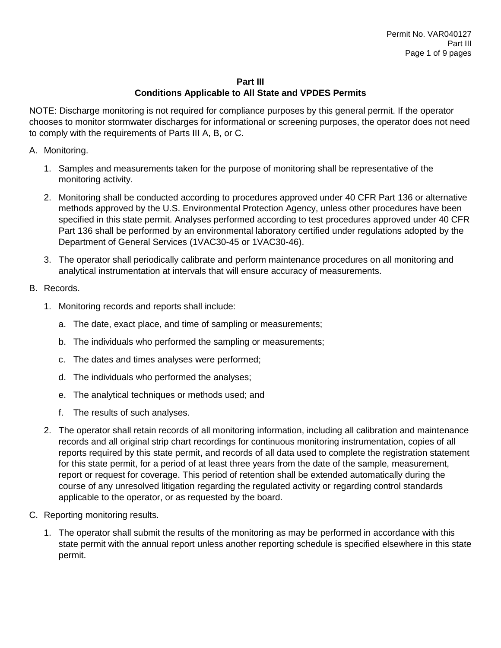## **Part III**

# **Conditions Applicable to All State and VPDES Permits**

NOTE: Discharge monitoring is not required for compliance purposes by this general permit. If the operator chooses to monitor stormwater discharges for informational or screening purposes, the operator does not need to comply with the requirements of Parts III A, B, or C.

- A. Monitoring.
	- 1. Samples and measurements taken for the purpose of monitoring shall be representative of the monitoring activity.
	- 2. Monitoring shall be conducted according to procedures approved under 40 CFR Part 136 or alternative methods approved by the U.S. Environmental Protection Agency, unless other procedures have been specified in this state permit. Analyses performed according to test procedures approved under 40 CFR Part 136 shall be performed by an environmental laboratory certified under regulations adopted by the Department of General Services (1VAC30-45 or 1VAC30-46).
	- 3. The operator shall periodically calibrate and perform maintenance procedures on all monitoring and analytical instrumentation at intervals that will ensure accuracy of measurements.

# B. Records.

- 1. Monitoring records and reports shall include:
	- a. The date, exact place, and time of sampling or measurements;
	- b. The individuals who performed the sampling or measurements;
	- c. The dates and times analyses were performed;
	- d. The individuals who performed the analyses;
	- e. The analytical techniques or methods used; and
	- f. The results of such analyses.
- 2. The operator shall retain records of all monitoring information, including all calibration and maintenance records and all original strip chart recordings for continuous monitoring instrumentation, copies of all reports required by this state permit, and records of all data used to complete the registration statement for this state permit, for a period of at least three years from the date of the sample, measurement, report or request for coverage. This period of retention shall be extended automatically during the course of any unresolved litigation regarding the regulated activity or regarding control standards applicable to the operator, or as requested by the board.
- C. Reporting monitoring results.
	- 1. The operator shall submit the results of the monitoring as may be performed in accordance with this state permit with the annual report unless another reporting schedule is specified elsewhere in this state permit.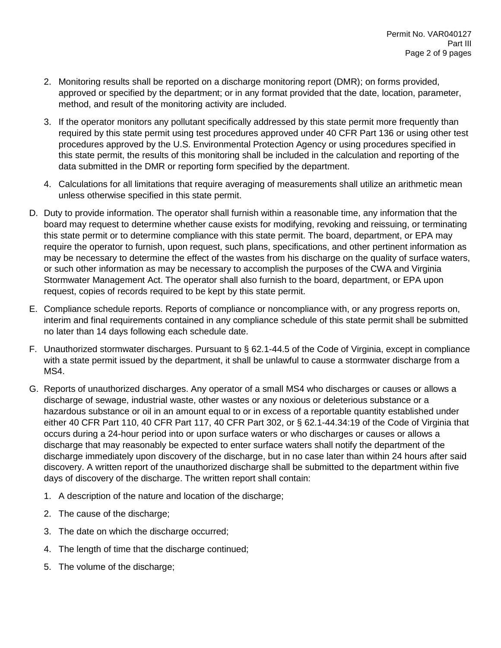- 2. Monitoring results shall be reported on a discharge monitoring report (DMR); on forms provided, approved or specified by the department; or in any format provided that the date, location, parameter, method, and result of the monitoring activity are included.
- 3. If the operator monitors any pollutant specifically addressed by this state permit more frequently than required by this state permit using test procedures approved under 40 CFR Part 136 or using other test procedures approved by the U.S. Environmental Protection Agency or using procedures specified in this state permit, the results of this monitoring shall be included in the calculation and reporting of the data submitted in the DMR or reporting form specified by the department.
- 4. Calculations for all limitations that require averaging of measurements shall utilize an arithmetic mean unless otherwise specified in this state permit.
- D. Duty to provide information. The operator shall furnish within a reasonable time, any information that the board may request to determine whether cause exists for modifying, revoking and reissuing, or terminating this state permit or to determine compliance with this state permit. The board, department, or EPA may require the operator to furnish, upon request, such plans, specifications, and other pertinent information as may be necessary to determine the effect of the wastes from his discharge on the quality of surface waters, or such other information as may be necessary to accomplish the purposes of the CWA and Virginia Stormwater Management Act. The operator shall also furnish to the board, department, or EPA upon request, copies of records required to be kept by this state permit.
- E. Compliance schedule reports. Reports of compliance or noncompliance with, or any progress reports on, interim and final requirements contained in any compliance schedule of this state permit shall be submitted no later than 14 days following each schedule date.
- F. Unauthorized stormwater discharges. Pursuant to § 62.1-44.5 of the Code of Virginia, except in compliance with a state permit issued by the department, it shall be unlawful to cause a stormwater discharge from a MS4.
- G. Reports of unauthorized discharges. Any operator of a small MS4 who discharges or causes or allows a discharge of sewage, industrial waste, other wastes or any noxious or deleterious substance or a hazardous substance or oil in an amount equal to or in excess of a reportable quantity established under either 40 CFR Part 110, 40 CFR Part 117, 40 CFR Part 302, or § 62.1-44.34:19 of the Code of Virginia that occurs during a 24-hour period into or upon surface waters or who discharges or causes or allows a discharge that may reasonably be expected to enter surface waters shall notify the department of the discharge immediately upon discovery of the discharge, but in no case later than within 24 hours after said discovery. A written report of the unauthorized discharge shall be submitted to the department within five days of discovery of the discharge. The written report shall contain:
	- 1. A description of the nature and location of the discharge;
	- 2. The cause of the discharge;
	- 3. The date on which the discharge occurred;
	- 4. The length of time that the discharge continued;
	- 5. The volume of the discharge;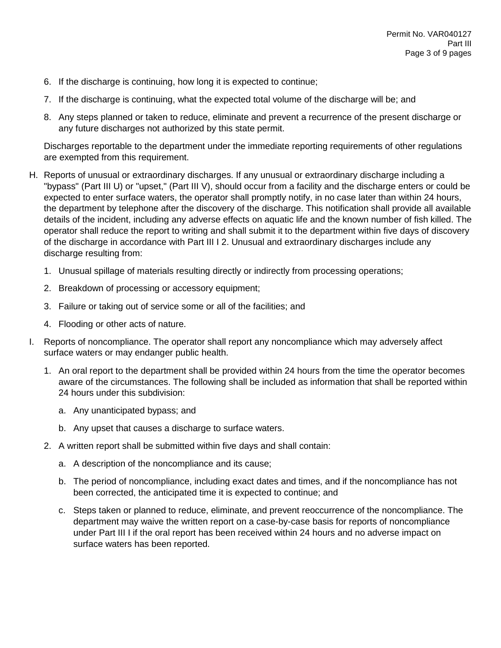- 6. If the discharge is continuing, how long it is expected to continue;
- 7. If the discharge is continuing, what the expected total volume of the discharge will be; and
- 8. Any steps planned or taken to reduce, eliminate and prevent a recurrence of the present discharge or any future discharges not authorized by this state permit.

Discharges reportable to the department under the immediate reporting requirements of other regulations are exempted from this requirement.

- H. Reports of unusual or extraordinary discharges. If any unusual or extraordinary discharge including a "bypass" (Part III U) or "upset," (Part III V), should occur from a facility and the discharge enters or could be expected to enter surface waters, the operator shall promptly notify, in no case later than within 24 hours, the department by telephone after the discovery of the discharge. This notification shall provide all available details of the incident, including any adverse effects on aquatic life and the known number of fish killed. The operator shall reduce the report to writing and shall submit it to the department within five days of discovery of the discharge in accordance with Part III I 2. Unusual and extraordinary discharges include any discharge resulting from:
	- 1. Unusual spillage of materials resulting directly or indirectly from processing operations;
	- 2. Breakdown of processing or accessory equipment;
	- 3. Failure or taking out of service some or all of the facilities; and
	- 4. Flooding or other acts of nature.
- I. Reports of noncompliance. The operator shall report any noncompliance which may adversely affect surface waters or may endanger public health.
	- 1. An oral report to the department shall be provided within 24 hours from the time the operator becomes aware of the circumstances. The following shall be included as information that shall be reported within 24 hours under this subdivision:
		- a. Any unanticipated bypass; and
		- b. Any upset that causes a discharge to surface waters.
	- 2. A written report shall be submitted within five days and shall contain:
		- a. A description of the noncompliance and its cause;
		- b. The period of noncompliance, including exact dates and times, and if the noncompliance has not been corrected, the anticipated time it is expected to continue; and
		- c. Steps taken or planned to reduce, eliminate, and prevent reoccurrence of the noncompliance. The department may waive the written report on a case-by-case basis for reports of noncompliance under Part III I if the oral report has been received within 24 hours and no adverse impact on surface waters has been reported.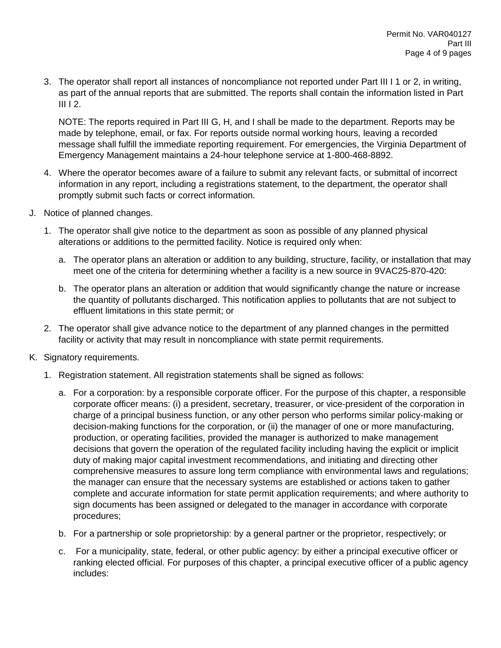3. The operator shall report all instances of noncompliance not reported under Part III I 1 or 2, in writing, as part of the annual reports that are submitted. The reports shall contain the information listed in Part III I 2.

NOTE: The reports required in Part III G, H, and I shall be made to the department. Reports may be made by telephone, email, or fax. For reports outside normal working hours, leaving a recorded message shall fulfill the immediate reporting requirement. For emergencies, the Virginia Department of Emergency Management maintains a 24-hour telephone service at 1-800-468-8892.

- 4. Where the operator becomes aware of a failure to submit any relevant facts, or submittal of incorrect information in any report, including a registrations statement, to the department, the operator shall promptly submit such facts or correct information.
- J. Notice of planned changes.
	- 1. The operator shall give notice to the department as soon as possible of any planned physical alterations or additions to the permitted facility. Notice is required only when:
		- a. The operator plans an alteration or addition to any building, structure, facility, or installation that may meet one of the criteria for determining whether a facility is a new source in 9VAC25-870-420:
		- b. The operator plans an alteration or addition that would significantly change the nature or increase the quantity of pollutants discharged. This notification applies to pollutants that are not subject to effluent limitations in this state permit; or
	- 2. The operator shall give advance notice to the department of any planned changes in the permitted facility or activity that may result in noncompliance with state permit requirements.
- K. Signatory requirements.
	- 1. Registration statement. All registration statements shall be signed as follows:
		- a. For a corporation: by a responsible corporate officer. For the purpose of this chapter, a responsible corporate officer means: (i) a president, secretary, treasurer, or vice-president of the corporation in charge of a principal business function, or any other person who performs similar policy-making or decision-making functions for the corporation, or (ii) the manager of one or more manufacturing, production, or operating facilities, provided the manager is authorized to make management decisions that govern the operation of the regulated facility including having the explicit or implicit duty of making major capital investment recommendations, and initiating and directing other comprehensive measures to assure long term compliance with environmental laws and regulations; the manager can ensure that the necessary systems are established or actions taken to gather complete and accurate information for state permit application requirements; and where authority to sign documents has been assigned or delegated to the manager in accordance with corporate procedures;
		- b. For a partnership or sole proprietorship: by a general partner or the proprietor, respectively; or
		- c. For a municipality, state, federal, or other public agency: by either a principal executive officer or ranking elected official. For purposes of this chapter, a principal executive officer of a public agency includes: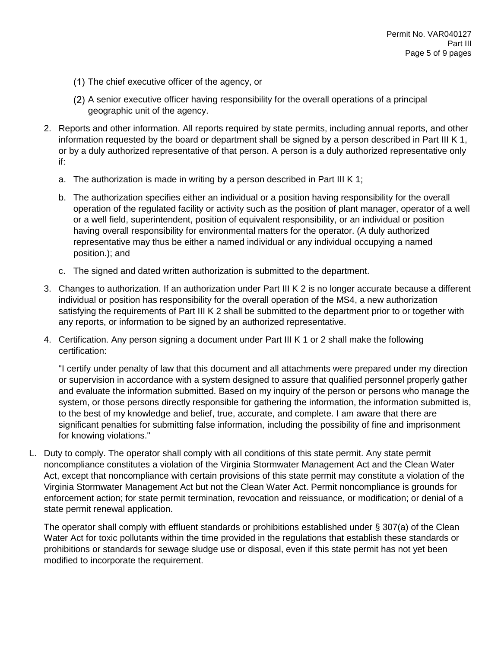- (1) The chief executive officer of the agency, or
- A senior executive officer having responsibility for the overall operations of a principal geographic unit of the agency.
- 2. Reports and other information. All reports required by state permits, including annual reports, and other information requested by the board or department shall be signed by a person described in Part III K 1, or by a duly authorized representative of that person. A person is a duly authorized representative only if:
	- a. The authorization is made in writing by a person described in Part III K 1;
	- b. The authorization specifies either an individual or a position having responsibility for the overall operation of the regulated facility or activity such as the position of plant manager, operator of a well or a well field, superintendent, position of equivalent responsibility, or an individual or position having overall responsibility for environmental matters for the operator. (A duly authorized representative may thus be either a named individual or any individual occupying a named position.); and
	- c. The signed and dated written authorization is submitted to the department.
- 3. Changes to authorization. If an authorization under Part III K 2 is no longer accurate because a different individual or position has responsibility for the overall operation of the MS4, a new authorization satisfying the requirements of Part III K 2 shall be submitted to the department prior to or together with any reports, or information to be signed by an authorized representative.
- 4. Certification. Any person signing a document under Part III K 1 or 2 shall make the following certification:

"I certify under penalty of law that this document and all attachments were prepared under my direction or supervision in accordance with a system designed to assure that qualified personnel properly gather and evaluate the information submitted. Based on my inquiry of the person or persons who manage the system, or those persons directly responsible for gathering the information, the information submitted is, to the best of my knowledge and belief, true, accurate, and complete. I am aware that there are significant penalties for submitting false information, including the possibility of fine and imprisonment for knowing violations."

L. Duty to comply. The operator shall comply with all conditions of this state permit. Any state permit noncompliance constitutes a violation of the Virginia Stormwater Management Act and the Clean Water Act, except that noncompliance with certain provisions of this state permit may constitute a violation of the Virginia Stormwater Management Act but not the Clean Water Act. Permit noncompliance is grounds for enforcement action; for state permit termination, revocation and reissuance, or modification; or denial of a state permit renewal application.

The operator shall comply with effluent standards or prohibitions established under § 307(a) of the Clean Water Act for toxic pollutants within the time provided in the regulations that establish these standards or prohibitions or standards for sewage sludge use or disposal, even if this state permit has not yet been modified to incorporate the requirement.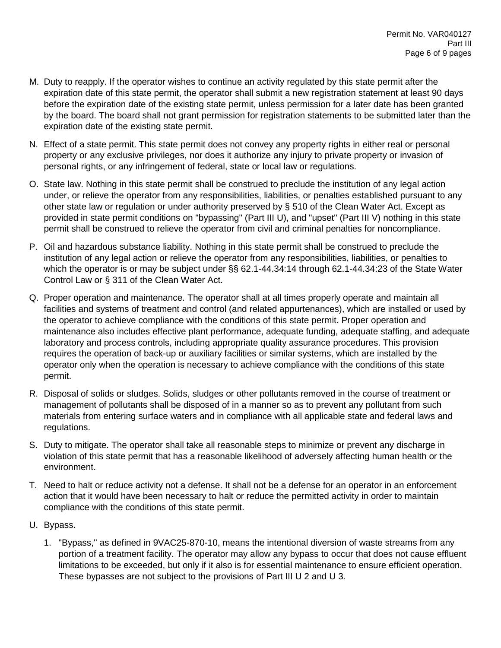- M. Duty to reapply. If the operator wishes to continue an activity regulated by this state permit after the expiration date of this state permit, the operator shall submit a new registration statement at least 90 days before the expiration date of the existing state permit, unless permission for a later date has been granted by the board. The board shall not grant permission for registration statements to be submitted later than the expiration date of the existing state permit.
- N. Effect of a state permit. This state permit does not convey any property rights in either real or personal property or any exclusive privileges, nor does it authorize any injury to private property or invasion of personal rights, or any infringement of federal, state or local law or regulations.
- O. State law. Nothing in this state permit shall be construed to preclude the institution of any legal action under, or relieve the operator from any responsibilities, liabilities, or penalties established pursuant to any other state law or regulation or under authority preserved by § 510 of the Clean Water Act. Except as provided in state permit conditions on "bypassing" (Part III U), and "upset" (Part III V) nothing in this state permit shall be construed to relieve the operator from civil and criminal penalties for noncompliance.
- P. Oil and hazardous substance liability. Nothing in this state permit shall be construed to preclude the institution of any legal action or relieve the operator from any responsibilities, liabilities, or penalties to which the operator is or may be subject under §§ 62.1-44.34:14 through 62.1-44.34:23 of the State Water Control Law or § 311 of the Clean Water Act.
- Q. Proper operation and maintenance. The operator shall at all times properly operate and maintain all facilities and systems of treatment and control (and related appurtenances), which are installed or used by the operator to achieve compliance with the conditions of this state permit. Proper operation and maintenance also includes effective plant performance, adequate funding, adequate staffing, and adequate laboratory and process controls, including appropriate quality assurance procedures. This provision requires the operation of back-up or auxiliary facilities or similar systems, which are installed by the operator only when the operation is necessary to achieve compliance with the conditions of this state permit.
- R. Disposal of solids or sludges. Solids, sludges or other pollutants removed in the course of treatment or management of pollutants shall be disposed of in a manner so as to prevent any pollutant from such materials from entering surface waters and in compliance with all applicable state and federal laws and regulations.
- S. Duty to mitigate. The operator shall take all reasonable steps to minimize or prevent any discharge in violation of this state permit that has a reasonable likelihood of adversely affecting human health or the environment.
- T. Need to halt or reduce activity not a defense. It shall not be a defense for an operator in an enforcement action that it would have been necessary to halt or reduce the permitted activity in order to maintain compliance with the conditions of this state permit.
- U. Bypass.
	- 1. "Bypass," as defined in 9VAC25-870-10, means the intentional diversion of waste streams from any portion of a treatment facility. The operator may allow any bypass to occur that does not cause effluent limitations to be exceeded, but only if it also is for essential maintenance to ensure efficient operation. These bypasses are not subject to the provisions of Part III U 2 and U 3.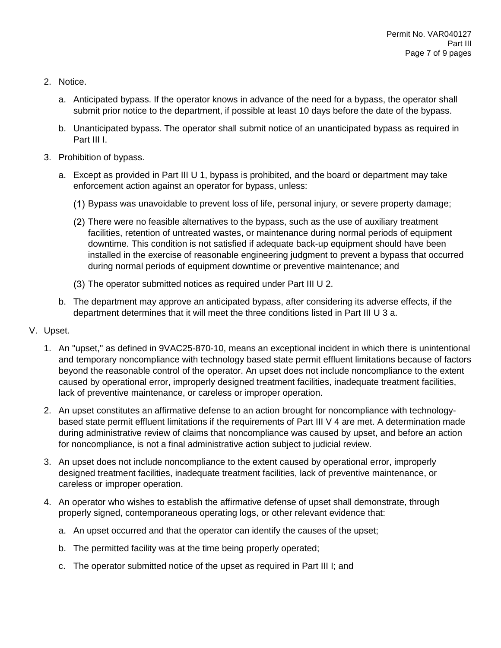- 2. Notice.
	- a. Anticipated bypass. If the operator knows in advance of the need for a bypass, the operator shall submit prior notice to the department, if possible at least 10 days before the date of the bypass.
	- b. Unanticipated bypass. The operator shall submit notice of an unanticipated bypass as required in Part III I.
- 3. Prohibition of bypass.
	- a. Except as provided in Part III U 1, bypass is prohibited, and the board or department may take enforcement action against an operator for bypass, unless:
		- Bypass was unavoidable to prevent loss of life, personal injury, or severe property damage;
		- There were no feasible alternatives to the bypass, such as the use of auxiliary treatment facilities, retention of untreated wastes, or maintenance during normal periods of equipment downtime. This condition is not satisfied if adequate back-up equipment should have been installed in the exercise of reasonable engineering judgment to prevent a bypass that occurred during normal periods of equipment downtime or preventive maintenance; and
		- (3) The operator submitted notices as required under Part III U 2.
	- b. The department may approve an anticipated bypass, after considering its adverse effects, if the department determines that it will meet the three conditions listed in Part III U 3 a.
- V. Upset.
	- 1. An "upset," as defined in 9VAC25-870-10, means an exceptional incident in which there is unintentional and temporary noncompliance with technology based state permit effluent limitations because of factors beyond the reasonable control of the operator. An upset does not include noncompliance to the extent caused by operational error, improperly designed treatment facilities, inadequate treatment facilities, lack of preventive maintenance, or careless or improper operation.
	- 2. An upset constitutes an affirmative defense to an action brought for noncompliance with technologybased state permit effluent limitations if the requirements of Part III V 4 are met. A determination made during administrative review of claims that noncompliance was caused by upset, and before an action for noncompliance, is not a final administrative action subject to judicial review.
	- 3. An upset does not include noncompliance to the extent caused by operational error, improperly designed treatment facilities, inadequate treatment facilities, lack of preventive maintenance, or careless or improper operation.
	- 4. An operator who wishes to establish the affirmative defense of upset shall demonstrate, through properly signed, contemporaneous operating logs, or other relevant evidence that:
		- a. An upset occurred and that the operator can identify the causes of the upset;
		- b. The permitted facility was at the time being properly operated;
		- c. The operator submitted notice of the upset as required in Part III I; and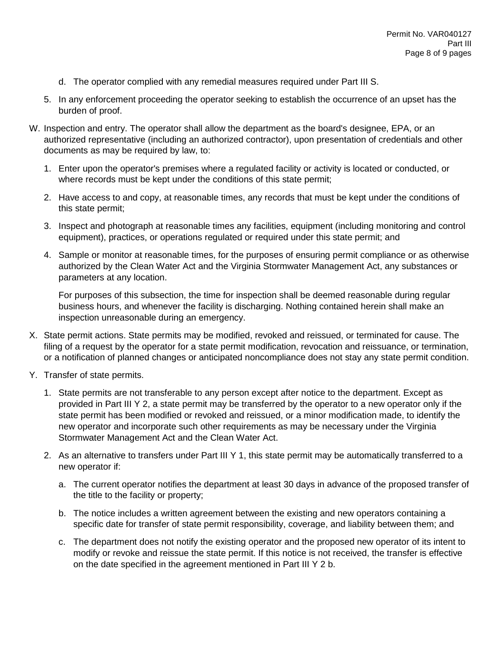- d. The operator complied with any remedial measures required under Part III S.
- 5. In any enforcement proceeding the operator seeking to establish the occurrence of an upset has the burden of proof.
- W. Inspection and entry. The operator shall allow the department as the board's designee, EPA, or an authorized representative (including an authorized contractor), upon presentation of credentials and other documents as may be required by law, to:
	- 1. Enter upon the operator's premises where a regulated facility or activity is located or conducted, or where records must be kept under the conditions of this state permit;
	- 2. Have access to and copy, at reasonable times, any records that must be kept under the conditions of this state permit;
	- 3. Inspect and photograph at reasonable times any facilities, equipment (including monitoring and control equipment), practices, or operations regulated or required under this state permit; and
	- 4. Sample or monitor at reasonable times, for the purposes of ensuring permit compliance or as otherwise authorized by the Clean Water Act and the Virginia Stormwater Management Act, any substances or parameters at any location.

For purposes of this subsection, the time for inspection shall be deemed reasonable during regular business hours, and whenever the facility is discharging. Nothing contained herein shall make an inspection unreasonable during an emergency.

- X. State permit actions. State permits may be modified, revoked and reissued, or terminated for cause. The filing of a request by the operator for a state permit modification, revocation and reissuance, or termination, or a notification of planned changes or anticipated noncompliance does not stay any state permit condition.
- Y. Transfer of state permits.
	- 1. State permits are not transferable to any person except after notice to the department. Except as provided in Part III Y 2, a state permit may be transferred by the operator to a new operator only if the state permit has been modified or revoked and reissued, or a minor modification made, to identify the new operator and incorporate such other requirements as may be necessary under the Virginia Stormwater Management Act and the Clean Water Act.
	- 2. As an alternative to transfers under Part III Y 1, this state permit may be automatically transferred to a new operator if:
		- a. The current operator notifies the department at least 30 days in advance of the proposed transfer of the title to the facility or property;
		- b. The notice includes a written agreement between the existing and new operators containing a specific date for transfer of state permit responsibility, coverage, and liability between them; and
		- c. The department does not notify the existing operator and the proposed new operator of its intent to modify or revoke and reissue the state permit. If this notice is not received, the transfer is effective on the date specified in the agreement mentioned in Part III Y 2 b.